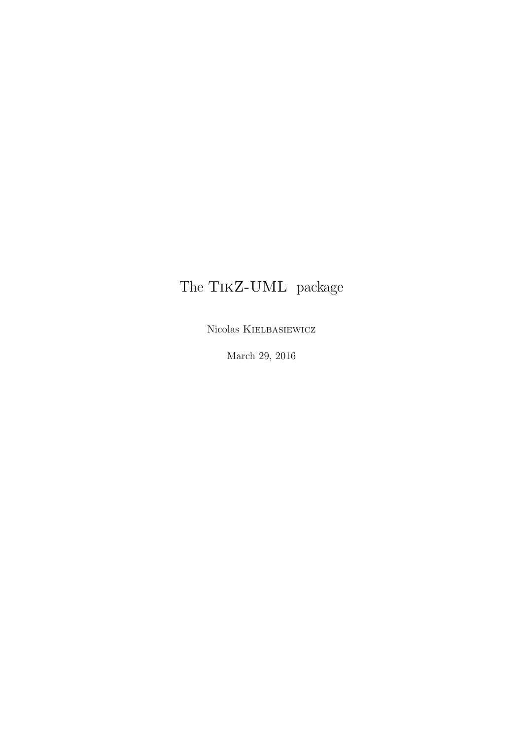## The TikZ-UML package

Nicolas Kielbasiewicz

March 29, 2016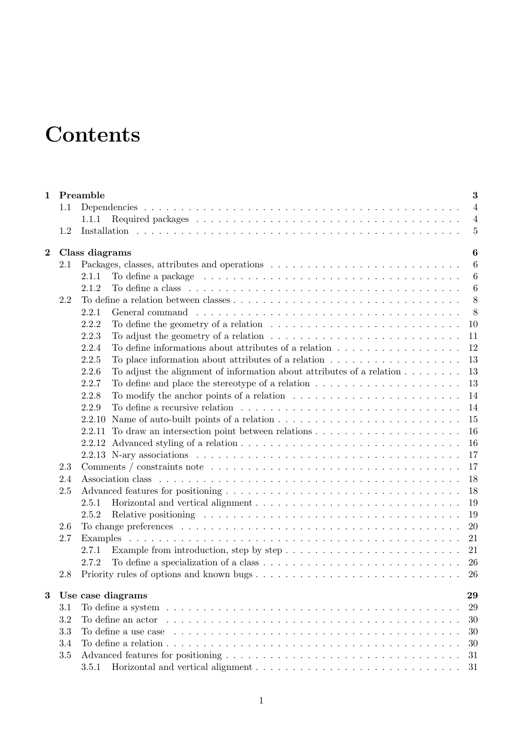# **Contents**

| $\mathbf 1$             |     | Preamble                                                                                                                               | 3                |
|-------------------------|-----|----------------------------------------------------------------------------------------------------------------------------------------|------------------|
|                         | 1.1 |                                                                                                                                        | $\overline{4}$   |
|                         |     | 1.1.1                                                                                                                                  | $\overline{4}$   |
|                         | 1.2 |                                                                                                                                        | $\overline{5}$   |
| $\overline{\mathbf{2}}$ |     | Class diagrams                                                                                                                         | $\boldsymbol{6}$ |
|                         | 2.1 |                                                                                                                                        | $6\phantom{.}6$  |
|                         |     | 2.1.1                                                                                                                                  | $\boldsymbol{6}$ |
|                         |     | 2.1.2                                                                                                                                  | $\boldsymbol{6}$ |
|                         | 2.2 |                                                                                                                                        | 8                |
|                         |     | 8<br>2.2.1                                                                                                                             |                  |
|                         |     | 2.2.2<br>To define the geometry of a relation $\dots \dots \dots \dots \dots \dots \dots \dots \dots \dots$<br>10                      |                  |
|                         |     | 2.2.3<br>To adjust the geometry of a relation $\dots \dots \dots \dots \dots \dots \dots \dots \dots \dots$<br>11                      |                  |
|                         |     | 2.2.4<br>To define informations about attributes of a relation $\dots \dots \dots \dots \dots \dots$<br>12                             |                  |
|                         |     | 13<br>2.2.5<br>To place information about attributes of a relation $\dots \dots \dots \dots \dots \dots$                               |                  |
|                         |     | To adjust the alignment of information about attributes of a relation $\dots \dots$<br>13<br>2.2.6                                     |                  |
|                         |     | 2.2.7<br>To define and place the stereotype of a relation $\dots \dots \dots \dots \dots \dots \dots$<br>13                            |                  |
|                         |     | To modify the anchor points of a relation $\ldots \ldots \ldots \ldots \ldots \ldots \ldots \ldots$<br>14<br>2.2.8                     |                  |
|                         |     | 14<br>2.2.9                                                                                                                            |                  |
|                         |     | 15                                                                                                                                     |                  |
|                         |     | 16<br>2.2.11                                                                                                                           |                  |
|                         |     | 16<br>2.2.12                                                                                                                           |                  |
|                         |     | 17                                                                                                                                     |                  |
|                         | 2.3 | 17                                                                                                                                     |                  |
|                         | 2.4 | 18                                                                                                                                     |                  |
|                         | 2.5 | 18                                                                                                                                     |                  |
|                         |     | 19<br>2.5.1                                                                                                                            |                  |
|                         |     | 19<br>2.5.2                                                                                                                            |                  |
|                         | 2.6 | 20                                                                                                                                     |                  |
|                         | 2.7 | 21<br>Examples                                                                                                                         |                  |
|                         |     | 21<br>Example from introduction, step by step $\dots \dots \dots \dots \dots \dots \dots \dots \dots$<br>2.7.1                         |                  |
|                         |     | 26<br>2.7.2                                                                                                                            |                  |
|                         | 2.8 |                                                                                                                                        |                  |
| 3                       |     | Use case diagrams<br>29                                                                                                                |                  |
|                         | 3.1 | To define a system $\dots \dots \dots \dots \dots \dots \dots \dots \dots \dots \dots \dots \dots \dots \dots \dots \dots$<br>29       |                  |
|                         | 3.2 | To define an actor $\dots \dots \dots \dots \dots \dots \dots \dots \dots \dots \dots \dots \dots \dots \dots \dots \dots \dots$<br>30 |                  |
|                         | 3.3 | To define a use case $\dots \dots \dots \dots \dots \dots \dots \dots \dots \dots \dots \dots \dots \dots \dots \dots \dots$<br>30     |                  |
|                         | 3.4 | 30                                                                                                                                     |                  |
|                         | 3.5 | 31                                                                                                                                     |                  |
|                         |     | Horizontal and vertical alignment $\ldots \ldots \ldots \ldots \ldots \ldots \ldots \ldots \ldots \ldots$<br>3.5.1<br>31               |                  |
|                         |     |                                                                                                                                        |                  |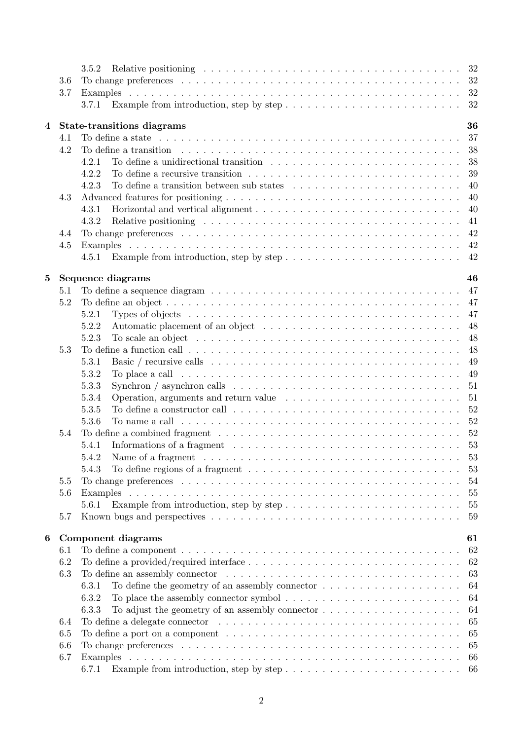|          |     | 32<br>3.5.2                                                                                                                                                                                                                          |
|----------|-----|--------------------------------------------------------------------------------------------------------------------------------------------------------------------------------------------------------------------------------------|
|          | 3.6 | 32                                                                                                                                                                                                                                   |
|          | 3.7 | 32                                                                                                                                                                                                                                   |
|          |     | Example from introduction, step by step $\dots \dots \dots \dots \dots \dots \dots \dots \dots$<br>32<br>3.7.1                                                                                                                       |
|          |     |                                                                                                                                                                                                                                      |
| 4        |     | 36<br><b>State-transitions diagrams</b>                                                                                                                                                                                              |
|          | 4.1 | 37                                                                                                                                                                                                                                   |
|          | 4.2 | 38<br>To define a transition enterpretation contains the contract of the contract of the contract of the contract of the contract of the contract of the contract of the contract of the contract of the contract of the contract of |
|          |     | To define a unidirectional transition $\ldots \ldots \ldots \ldots \ldots \ldots \ldots \ldots \ldots$<br>38<br>4.2.1                                                                                                                |
|          |     | 39<br>4.2.2                                                                                                                                                                                                                          |
|          |     | To define a transition between sub states $\ldots \ldots \ldots \ldots \ldots \ldots \ldots \ldots$<br>40<br>4.2.3                                                                                                                   |
|          | 4.3 | 40                                                                                                                                                                                                                                   |
|          |     | 40<br>4.3.1                                                                                                                                                                                                                          |
|          |     | 41<br>4.3.2                                                                                                                                                                                                                          |
|          | 4.4 | 42                                                                                                                                                                                                                                   |
|          | 4.5 | 42                                                                                                                                                                                                                                   |
|          |     | 42<br>Example from introduction, step by step $\dots \dots \dots \dots \dots \dots \dots \dots \dots$<br>4.5.1                                                                                                                       |
|          |     |                                                                                                                                                                                                                                      |
| $\bf{5}$ |     | Sequence diagrams<br>46                                                                                                                                                                                                              |
|          | 5.1 | 47<br>To define a sequence diagram $\dots \dots \dots \dots \dots \dots \dots \dots \dots \dots \dots \dots \dots \dots$                                                                                                             |
|          | 5.2 | 47                                                                                                                                                                                                                                   |
|          |     | 47<br>5.2.1<br>Types of objects $\ldots \ldots \ldots \ldots \ldots \ldots \ldots \ldots \ldots \ldots \ldots \ldots \ldots$                                                                                                         |
|          |     | 48<br>5.2.2                                                                                                                                                                                                                          |
|          |     | 48<br>To scale an object $\dots \dots \dots \dots \dots \dots \dots \dots \dots \dots \dots \dots \dots \dots$<br>5.2.3                                                                                                              |
|          | 5.3 | 48                                                                                                                                                                                                                                   |
|          |     | 49<br>5.3.1                                                                                                                                                                                                                          |
|          |     | To place a call $\ldots \ldots \ldots \ldots \ldots \ldots \ldots \ldots \ldots \ldots \ldots \ldots$<br>5.3.2<br>49                                                                                                                 |
|          |     | 51<br>5.3.3<br>Synchron $\ell$ asynchron calls $\ldots \ldots \ldots \ldots \ldots \ldots \ldots \ldots \ldots \ldots \ldots$                                                                                                        |
|          |     | 5.3.4<br>51                                                                                                                                                                                                                          |
|          |     | To define a constructor call $\ldots \ldots \ldots \ldots \ldots \ldots \ldots \ldots \ldots \ldots$<br>52<br>5.3.5                                                                                                                  |
|          |     | 52<br>5.3.6<br>To name a call $\dots \dots \dots \dots \dots \dots \dots \dots \dots \dots \dots \dots \dots \dots \dots \dots$                                                                                                      |
|          | 5.4 | 52                                                                                                                                                                                                                                   |
|          |     | - 53<br>5.4.1                                                                                                                                                                                                                        |
|          |     | 53<br>Name of a fragment $\dots \dots \dots \dots \dots \dots \dots \dots \dots \dots \dots \dots \dots \dots$                                                                                                                       |
|          |     | To define regions of a fragment $\dots \dots \dots \dots \dots \dots \dots \dots \dots \dots \dots \dots$<br>53<br>5.4.3                                                                                                             |
|          | 5.5 | 54                                                                                                                                                                                                                                   |
|          | 5.6 | 55                                                                                                                                                                                                                                   |
|          |     | 5.6.1<br>55                                                                                                                                                                                                                          |
|          | 5.7 | Known bugs and perspectives $\dots \dots \dots \dots \dots \dots \dots \dots \dots \dots \dots \dots \dots \dots \dots$<br>59                                                                                                        |
|          |     |                                                                                                                                                                                                                                      |
| 6        |     | Component diagrams<br>61                                                                                                                                                                                                             |
|          | 6.1 | 62                                                                                                                                                                                                                                   |
|          | 6.2 | To define a provided/required interface $\dots \dots \dots \dots \dots \dots \dots \dots \dots \dots \dots \dots$<br>62                                                                                                              |
|          | 6.3 | 63<br>To define an assembly connector resources in the set of the set of the set of the set of the set of the set of the set of the set of the set of the set of the set of the set of the set of the set of the set of the set of t |
|          |     | To define the geometry of an assembly connector $\dots \dots \dots \dots \dots \dots \dots$<br>64<br>6.3.1                                                                                                                           |
|          |     | To place the assembly connector symbol $\dots \dots \dots \dots \dots \dots \dots \dots \dots \dots$<br>64<br>6.3.2                                                                                                                  |
|          |     | To adjust the geometry of an assembly connector $\dots \dots \dots \dots \dots \dots \dots$<br>6.3.3<br>64                                                                                                                           |
|          | 6.4 | 65<br>To define a delegate connector $\ldots \ldots \ldots \ldots \ldots \ldots \ldots \ldots \ldots \ldots \ldots$                                                                                                                  |
|          | 6.5 | To define a port on a component $\ldots \ldots \ldots \ldots \ldots \ldots \ldots \ldots \ldots \ldots \ldots$<br>65                                                                                                                 |
|          | 6.6 | 65                                                                                                                                                                                                                                   |
|          | 6.7 | 66                                                                                                                                                                                                                                   |
|          |     |                                                                                                                                                                                                                                      |
|          |     | Example from introduction, step by step $\dots \dots \dots \dots \dots \dots \dots \dots \dots$<br>6.7.1<br>66                                                                                                                       |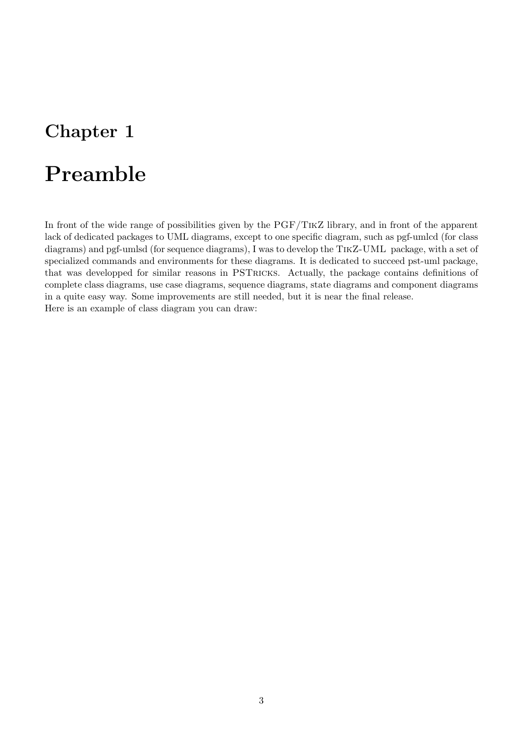## <span id="page-3-0"></span>Chapter 1

# Preamble

In front of the wide range of possibilities given by the PGF/TikZ library, and in front of the apparent lack of dedicated packages to UML diagrams, except to one specific diagram, such as pgf-umlcd (for class diagrams) and pgf-umlsd (for sequence diagrams), I was to develop the TikZ-UML package, with a set of specialized commands and environments for these diagrams. It is dedicated to succeed pst-uml package, that was developped for similar reasons in PSTricks. Actually, the package contains definitions of complete class diagrams, use case diagrams, sequence diagrams, state diagrams and component diagrams in a quite easy way. Some improvements are still needed, but it is near the final release. Here is an example of class diagram you can draw: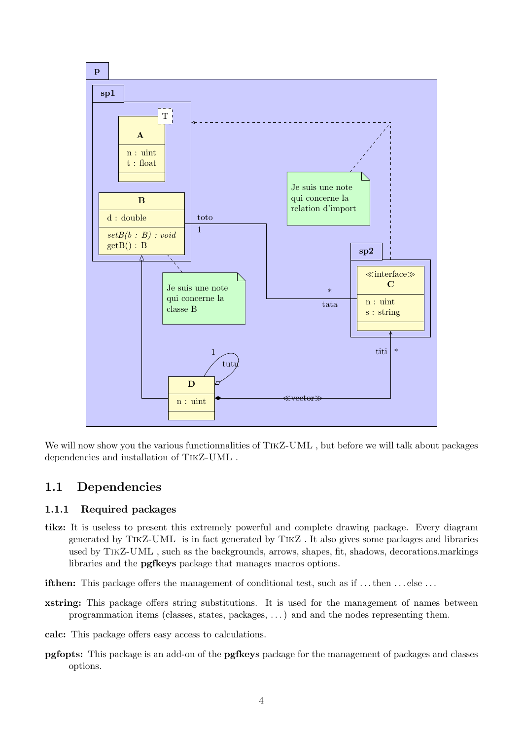

We will now show you the various functionnalities of TIKZ-UML, but before we will talk about packages dependencies and installation of TikZ-UML .

## <span id="page-4-0"></span>1.1 Dependencies

## <span id="page-4-1"></span>1.1.1 Required packages

- tikz: It is useless to present this extremely powerful and complete drawing package. Every diagram generated by TikZ-UML is in fact generated by TikZ . It also gives some packages and libraries used by TikZ-UML , such as the backgrounds, arrows, shapes, fit, shadows, decorations.markings libraries and the pgfkeys package that manages macros options.
- if then: This package offers the management of conditional test, such as if ... then ... else ...
- xstring: This package offers string substitutions. It is used for the management of names between programmation items (classes, states, packages, . . . ) and and the nodes representing them.
- calc: This package offers easy access to calculations.
- pgfopts: This package is an add-on of the pgfkeys package for the management of packages and classes options.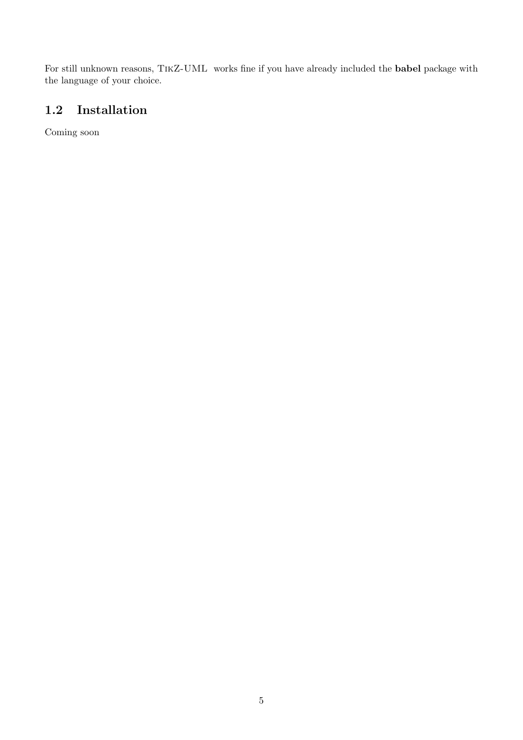For still unknown reasons, TikZ-UML works fine if you have already included the babel package with the language of your choice.

## <span id="page-5-0"></span>1.2 Installation

Coming soon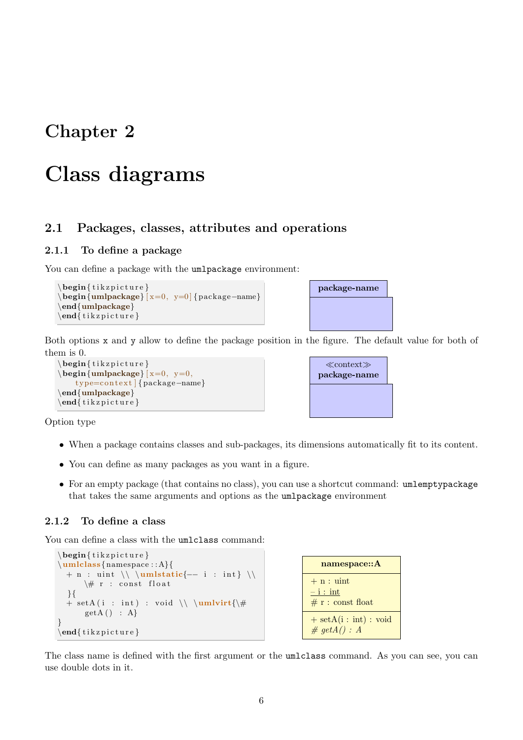## <span id="page-6-0"></span>Chapter 2

## Class diagrams

## <span id="page-6-1"></span>2.1 Packages, classes, attributes and operations

## <span id="page-6-2"></span>2.1.1 To define a package

You can define a package with the umlpackage environment:

```
\begin{cases} \begin{ t i k z p i c t u r e }
\begin{umlpackage} [ x=0, y=0 ] {package−name}
\end{umlpackage}
\end{math} (tik z p i c t u r e }
```


Both options x and y allow to define the package position in the figure. The default value for both of them is 0.

```
\begin{cases} begin{ tikzpicture }
\begin{cases} \text{umlpackage} \mid x=0, y=0, \end{cases}type=context | {package−name}
\end{umlpackage}
\end{math}
```

| $\ll$ context $\gg$<br>package-name |  |
|-------------------------------------|--|
|                                     |  |

Option type

- When a package contains classes and sub-packages, its dimensions automatically fit to its content.
- You can define as many packages as you want in a figure.
- For an empty package (that contains no class), you can use a shortcut command: umlemptypackage that takes the same arguments and options as the umlpackage environment

### <span id="page-6-3"></span>2.1.2 To define a class

You can define a class with the umlclass command:

```
\begin{cases} begin{ tikzpicture }
\umlclass{namespace : : A}{
  + n : \text{uint } \\\ \ \\setminus \# r : const float
  }{
  + \operatorname{setA} (i : int) : \operatorname{val} \setminus \{\downarrow\}getA() : A}
\end{math} (tikzpicture)
```

```
namespace::A
+ n : uint
- i : int# r : const float
+ setA(i: int): void\# getA() : A
```
The class name is defined with the first argument or the umlclass command. As you can see, you can use double dots in it.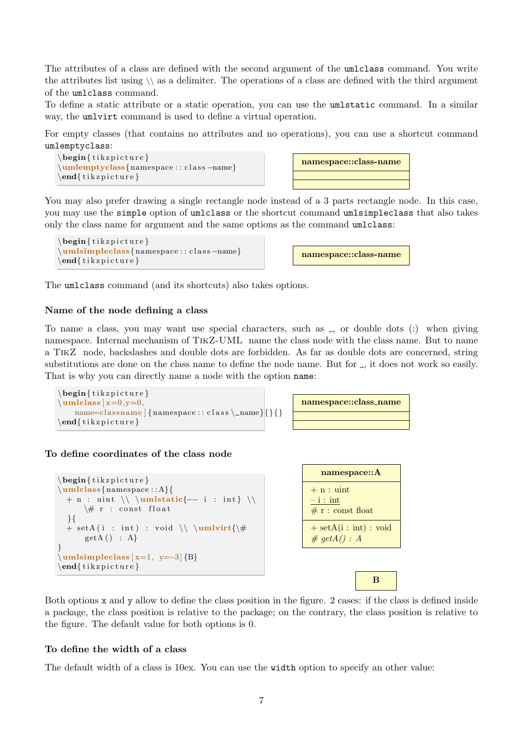The attributes of a class are defined with the second argument of the umlclass command. You write the attributes list using  $\setminus \$  as a delimiter. The operations of a class are defined with the third argument of the umlclass command.

To define a static attribute or a static operation, you can use the umlstatic command. In a similar way, the umlyirt command is used to define a virtual operation.

For empty classes (that contains no attributes and no operations), you can use a shortcut command umlemptyclass:



You may also prefer drawing a single rectangle node instead of a 3 parts rectangle node. In this case, you may use the simple option of umlclass or the shortcut command umlsimpleclass that also takes only the class name for argument and the same options as the command umlclass:

```
\begin{cases} begin{ tikzpicture }
\umlsimpleclass{namespace : : c l a s s −name}
\end{math} (tikzpicture)
```

| namespace::class-name |
|-----------------------|
|                       |
|                       |
|                       |

namespace::class-name

The umlclass command (and its shortcuts) also takes options.

#### Name of the node defining a class

To name a class, you may want use special characters, such as  $\overline{z}$ , or double dots (:) when giving namespace. Internal mechanism of TikZ-UML name the class node with the class name. But to name a TikZ node, backslashes and double dots are forbidden. As far as double dots are concerned, string substitutions are done on the class name to define the node name. But for  $\overline{\ }$ , it does not work so easily. That is why you can directly name a node with the option name:

```
\begin{cases} tikzpicture }
\mu\nule{1em}\n<math>x=0, y=0,</math>name=classname {namespace : : c l a s s \ _ name }{} { }
\end{math} (tik z p i c t u r e }
```

| namespace::class_name |  |
|-----------------------|--|
|                       |  |
|                       |  |

#### To define coordinates of the class node

```
\begin{cases} begin{ tikzpicture }
\umlclass{namespace : : A}{
  + n : uint \\ \umlstatic{-- i : int } \\
       \setminus \# r : const float
  }{
  + \operatorname{setA}(i : int) : \operatorname{val} \setminus \mathsf{w}getA() : A}
\umlsimpleclass [ x=1, y=-3] {B}\end{math} (tikzpicture)
```

| namespace:: A                                |  |  |
|----------------------------------------------|--|--|
| $+$ n : uint<br>$-i:int$<br># r: const float |  |  |
| $+ setA(i: int): void$<br>$\#$ getA() : A    |  |  |
|                                              |  |  |

B

Both options x and y allow to define the class position in the figure. 2 cases: if the class is defined inside a package, the class position is relative to the package; on the contrary, the class position is relative to the figure. The default value for both options is 0.

#### To define the width of a class

The default width of a class is 10ex. You can use the width option to specify an other value: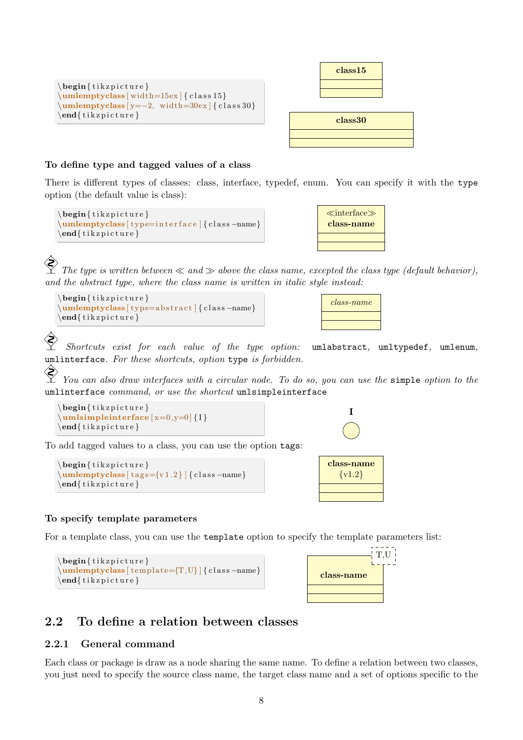

| class15 |  |
|---------|--|
|         |  |
|         |  |
| class30 |  |
|         |  |

#### To define type and tagged values of a class

There is different types of classes: class, interface, typedef, enum. You can specify it with the type option (the default value is class):

```
\begin{cases} \begin{ t i k z p i c t u r e }
\umlemptyclass [ type=i n t e r f a c e ] { c l a s s −name}
\end{math} (tikzpicture)
```


 The type is written between  $\ll$  and  $\gg$  above the class name, excepted the class type (default behavior), and the abstract type, where the class name is written in italic style instead:

```
\begin{cases} begin{ tikzpicture }
\umlemptyclass [ type=abstract ] { class –name}
\end{math} (tikzpicture)
```


I

class-name  $\{v1.2\}$ 

 Shortcuts exist for each value of the type option: umlabstract, umltypedef, umlenum, umlinterface. For these shortcuts, option type is forbidden.

 $\hat{\mathcal{S}}$ You can also draw interfaces with a circular node. To do so, you can use the simple option to the umlinterface command, or use the shortcut umlsimpleinterface

```
\begin{cases} tikzpicture }
\umlsim\end{math}
```
To add tagged values to a class, you can use the option tags:

```
\begin{cases} begin{ tikzpicture }
\umlemptyclass [ tags={v1.2} ] { class -name}
\end{math} (tikzpicture)
```


For a template class, you can use the template option to specify the template parameters list:

```
\begin{cases} tikzpicture }
\mathcal{L}_{\text{unle} \times \text{template} = \{T, U\}} { class -name}
\end{math} (tikzpicture)
```


## <span id="page-8-0"></span>2.2 To define a relation between classes

### <span id="page-8-1"></span>2.2.1 General command

Each class or package is draw as a node sharing the same name. To define a relation between two classes, you just need to specify the source class name, the target class name and a set of options specific to the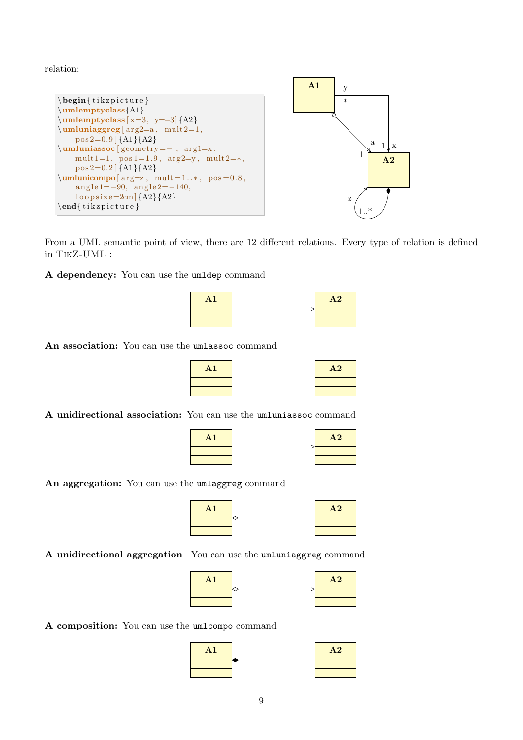relation:



From a UML semantic point of view, there are 12 different relations. Every type of relation is defined in TikZ-UML :

A dependency: You can use the umldep command



An association: You can use the umlassoc command

| A <sub>1</sub> | A2 |
|----------------|----|
|                |    |
|                |    |

A unidirectional association: You can use the umluniassoc command

| ${\bf A1}$ | A2 |
|------------|----|
|            |    |
|            |    |

An aggregation: You can use the umlaggreg command



A unidirectional aggregation You can use the umluniaggreg command

| ${\bf A1}$ | A2 |
|------------|----|
|            |    |
|            |    |

A composition: You can use the umlcompo command

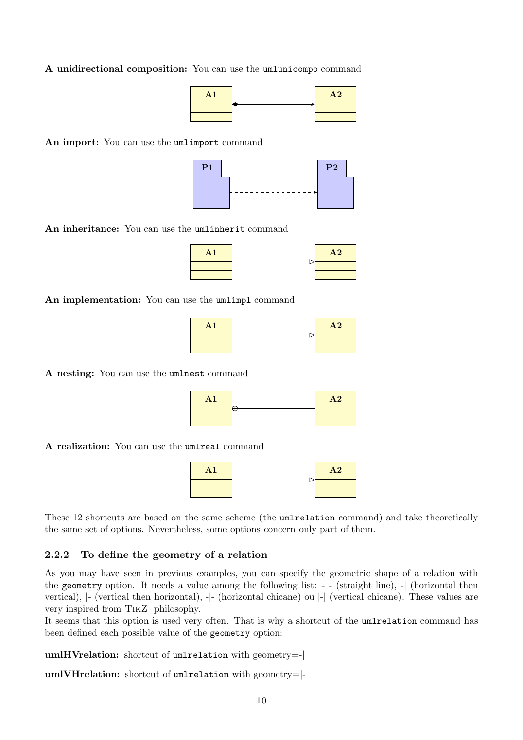A unidirectional composition: You can use the umlunicompo command

| H <sub>1</sub> | A <sub>2</sub> |
|----------------|----------------|
|                |                |
|                |                |

An import: You can use the umlimport command



An inheritance: You can use the umlinherit command

| A <sub>1</sub> | A2 |
|----------------|----|
|                |    |
|                |    |

An implementation: You can use the umlimpl command

| $\mathbf{A1}$ | - –⊳⊢ | A2 |
|---------------|-------|----|
|               |       |    |
|               |       |    |

A nesting: You can use the umlnest command

| A <sub>1</sub> | A2 |
|----------------|----|
|                |    |
|                |    |

A realization: You can use the umlreal command

 $\mathbf{A1}$   $\mathbf{A2}$ 

These 12 shortcuts are based on the same scheme (the umlrelation command) and take theoretically the same set of options. Nevertheless, some options concern only part of them.

#### <span id="page-10-0"></span>2.2.2 To define the geometry of a relation

<span id="page-10-1"></span>As you may have seen in previous examples, you can specify the geometric shape of a relation with the geometry option. It needs a value among the following list: - - (straight line), -| (horizontal then vertical), |- (vertical then horizontal), -|- (horizontal chicane) ou |-| (vertical chicane). These values are very inspired from TikZ philosophy.

It seems that this option is used very often. That is why a shortcut of the umlrelation command has been defined each possible value of the geometry option:

umlHVrelation: shortcut of umlrelation with geometry=-|

umlVHrelation: shortcut of umlrelation with geometry=|-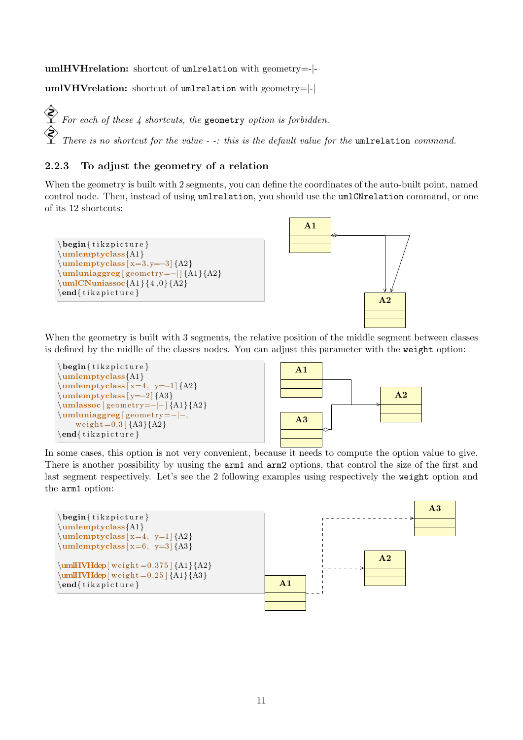umlHVHrelation: shortcut of umlrelation with geometry=-|-

umlVHVrelation: shortcut of umlrelation with geometry=|-|

 $\hat{\diamondsuit}$ For each of these  $\lambda$  shortcuts, the geometry option is forbidden. There is no shortcut for the value - -: this is the default value for the umlrelation command.

## <span id="page-11-0"></span>2.2.3 To adjust the geometry of a relation

When the geometry is built with 2 segments, you can define the coordinates of the auto-built point, named control node. Then, instead of using umlrelation, you should use the umlCNrelation command, or one of its 12 shortcuts:



When the geometry is built with 3 segments, the relative position of the middle segment between classes is defined by the midlle of the classes nodes. You can adjust this parameter with the weight option:

<span id="page-11-3"></span>

In some cases, this option is not very convenient, because it needs to compute the option value to give. There is another possibility by uusing the arm1 and arm2 options, that control the size of the first and last segment respectively. Let's see the 2 following examples using respectively the weight option and the arm1 option:

<span id="page-11-2"></span><span id="page-11-1"></span>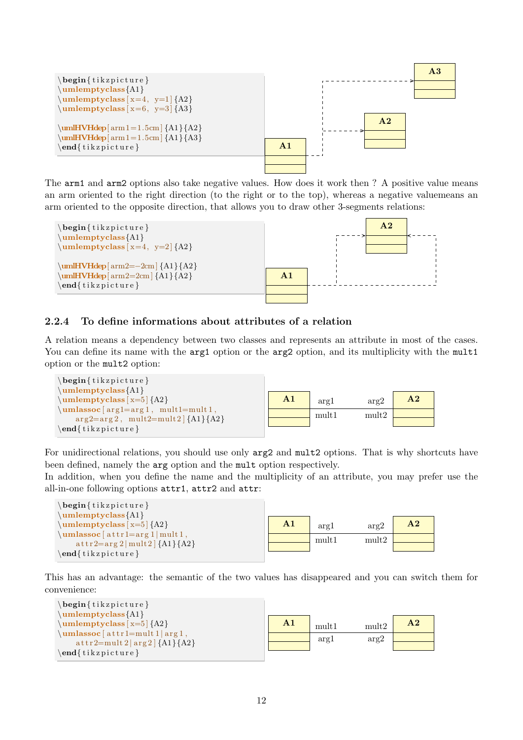

The arm1 and arm2 options also take negative values. How does it work then ? A positive value means an arm oriented to the right direction (to the right or to the top), whereas a negative valuemeans an arm oriented to the opposite direction, that allows you to draw other 3-segments relations:



### <span id="page-12-0"></span>2.2.4 To define informations about attributes of a relation

A relation means a dependency between two classes and represents an attribute in most of the cases. You can define its name with the arg1 option or the arg2 option, and its multiplicity with the mult1 option or the mult2 option:



For unidirectional relations, you should use only arg2 and mult2 options. That is why shortcuts have been defined, namely the arg option and the mult option respectively.

In addition, when you define the name and the multiplicity of an attribute, you may prefer use the all-in-one following options attr1, attr2 and attr:

| $\begin{cases}$ begin{tikzpicture}     |    |       |       |                |
|----------------------------------------|----|-------|-------|----------------|
| $\umlemptyclass{A1}$                   |    |       |       |                |
| $\umlemptyclass[x=5]{A2}$              | A1 | arg1  | arg2  | A <sub>2</sub> |
| $\umlassoc[attr1=arg1   mult1,$        |    | mult1 | mult2 |                |
| $\text{attr2=arg2}$   mult2   {A1}{A2} |    |       |       |                |
| $\end{iikzpicture}$                    |    |       |       |                |

This has an advantage: the semantic of the two values has disappeared and you can switch them for convenience:

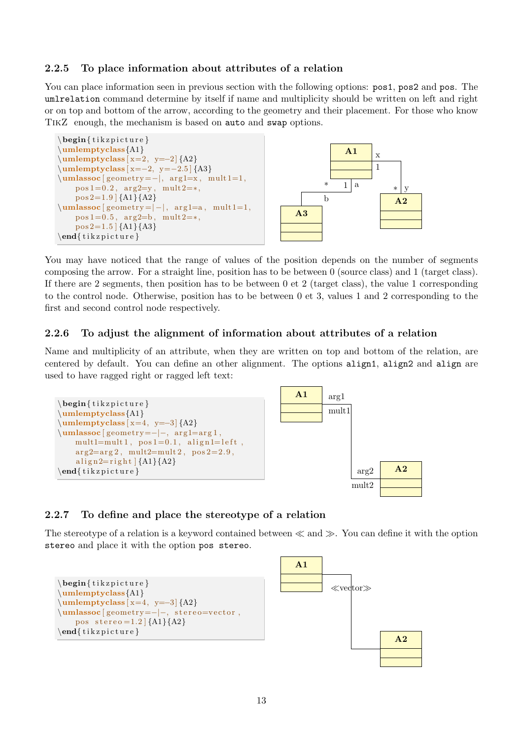## <span id="page-13-0"></span>2.2.5 To place information about attributes of a relation

You can place information seen in previous section with the following options:  $pos1, pos2$  and  $pos$ . The umlrelation command determine by itself if name and multiplicity should be written on left and right or on top and bottom of the arrow, according to the geometry and their placement. For those who know TikZ enough, the mechanism is based on auto and swap options.



You may have noticed that the range of values of the position depends on the number of segments composing the arrow. For a straight line, position has to be between 0 (source class) and 1 (target class). If there are 2 segments, then position has to be between 0 et 2 (target class), the value 1 corresponding to the control node. Otherwise, position has to be between 0 et 3, values 1 and 2 corresponding to the first and second control node respectively.

#### <span id="page-13-1"></span>2.2.6 To adjust the alignment of information about attributes of a relation

Name and multiplicity of an attribute, when they are written on top and bottom of the relation, are centered by default. You can define an other alignment. The options align1, align2 and align are used to have ragged right or ragged left text:



### <span id="page-13-2"></span>2.2.7 To define and place the stereotype of a relation

<span id="page-13-3"></span>The stereotype of a relation is a keyword contained between  $\ll$  and  $\gg$ . You can define it with the option stereo and place it with the option pos stereo.

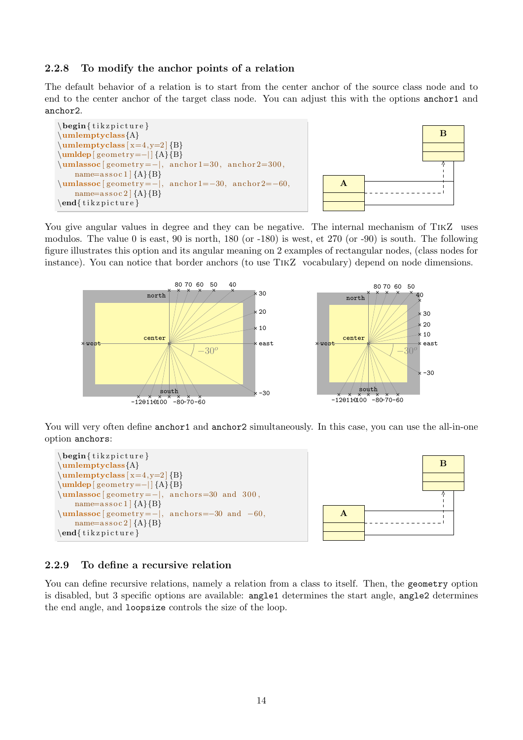### <span id="page-14-0"></span>2.2.8 To modify the anchor points of a relation

The default behavior of a relation is to start from the center anchor of the source class node and to end to the center anchor of the target class node. You can adjust this with the options anchor1 and anchor2.

<span id="page-14-3"></span>

<span id="page-14-2"></span>

You give angular values in degree and they can be negative. The internal mechanism of TIKZ uses modulos. The value 0 is east, 90 is north, 180 (or -180) is west, et 270 (or -90) is south. The following figure illustrates this option and its angular meaning on 2 examples of rectangular nodes, (class nodes for instance). You can notice that border anchors (to use TikZ vocabulary) depend on node dimensions.



You will very often define anchor1 and anchor2 simultaneously. In this case, you can use the all-in-one option anchors:

<span id="page-14-4"></span>



### <span id="page-14-1"></span>2.2.9 To define a recursive relation

You can define recursive relations, namely a relation from a class to itself. Then, the geometry option is disabled, but 3 specific options are available: angle1 determines the start angle, angle2 determines the end angle, and loopsize controls the size of the loop.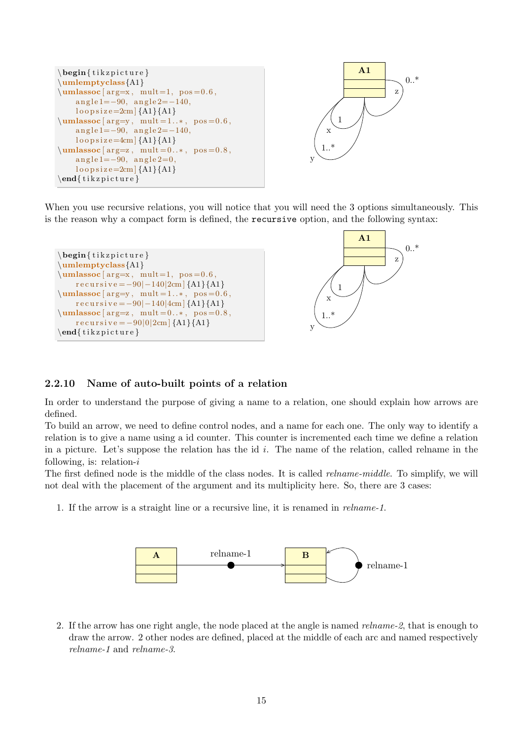



When you use recursive relations, you will notice that you will need the 3 options simultaneously. This is the reason why a compact form is defined, the recursive option, and the following syntax:

```
\begin{cases} begin{ tikzpicture }
\umlemptyclass{A1}
\umlassoc [ arg=x, mult=1, pos = 0.6,
    recursively = -90|-140|2cm {A1}{A1}
\umlassoc [arg=y, mult=1..*, pos=0.6,recursively = -90|-140|4cm {A1}{A1}
\umlassoc [ arg=z, mult = 0..*, pos = 0.8,
    recursively = -90|0|2cm {A1}{A1}
\end{math} (tikzpicture)
```


### <span id="page-15-0"></span>2.2.10 Name of auto-built points of a relation

In order to understand the purpose of giving a name to a relation, one should explain how arrows are defined.

To build an arrow, we need to define control nodes, and a name for each one. The only way to identify a relation is to give a name using a id counter. This counter is incremented each time we define a relation in a picture. Let's suppose the relation has the id  $i$ . The name of the relation, called relname in the following, is: relation- $i$ 

The first defined node is the middle of the class nodes. It is called *relname-middle*. To simplify, we will not deal with the placement of the argument and its multiplicity here. So, there are 3 cases:

1. If the arrow is a straight line or a recursive line, it is renamed in relname-1.



2. If the arrow has one right angle, the node placed at the angle is named relname-2, that is enough to draw the arrow. 2 other nodes are defined, placed at the middle of each arc and named respectively relname-1 and relname-3.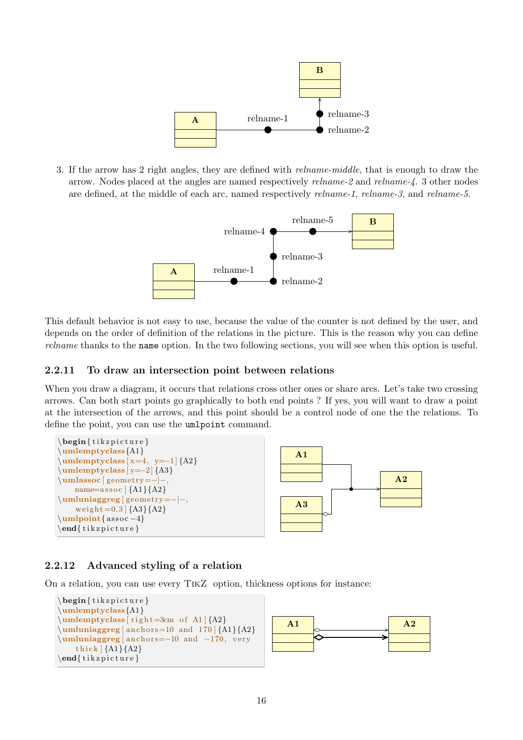

3. If the arrow has 2 right angles, they are defined with relname-middle, that is enough to draw the arrow. Nodes placed at the angles are named respectively relname-2 and relname-4. 3 other nodes are defined, at the middle of each arc, named respectively *relname-1*, *relname-3*, and *relname-5*.



This default behavior is not easy to use, because the value of the counter is not defined by the user, and depends on the order of definition of the relations in the picture. This is the reason why you can define relname thanks to the name option. In the two following sections, you will see when this option is useful.

## <span id="page-16-0"></span>2.2.11 To draw an intersection point between relations

When you draw a diagram, it occurs that relations cross other ones or share arcs. Let's take two crossing arrows. Can both start points go graphically to both end points ? If yes, you will want to draw a point at the intersection of the arrows, and this point should be a control node of one the the relations. To define the point, you can use the umlpoint command.



## <span id="page-16-1"></span>2.2.12 Advanced styling of a relation

On a relation, you can use every TikZ option, thickness options for instance:



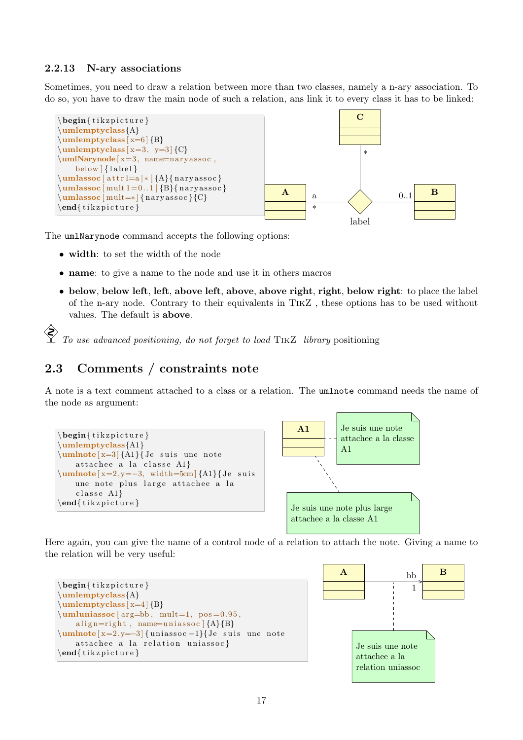### <span id="page-17-0"></span>2.2.13 N-ary associations

Sometimes, you need to draw a relation between more than two classes, namely a n-ary association. To do so, you have to draw the main node of such a relation, ans link it to every class it has to be linked:



The umlNarynode command accepts the following options:

- width: to set the width of the node
- name: to give a name to the node and use it in others macros
- below, below left, left, above left, above, above right, right, below right: to place the label of the n-ary node. Contrary to their equivalents in TikZ , these options has to be used without values. The default is above.

 To use advanced positioning, do not forget to load TikZ library positioning

## <span id="page-17-1"></span>2.3 Comments / constraints note

A note is a text comment attached to a class or a relation. The umlnote command needs the name of the node as argument:



Here again, you can give the name of a control node of a relation to attach the note. Giving a name to the relation will be very useful:



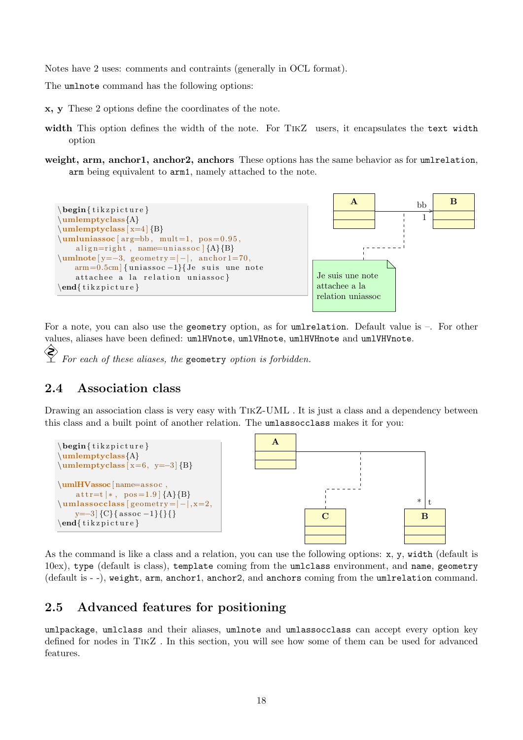Notes have 2 uses: comments and contraints (generally in OCL format).

The umlnote command has the following options:

x, y These 2 options define the coordinates of the note.

- width This option defines the width of the note. For TIKZ users, it encapsulates the text width option
- weight, arm, anchor1, anchor2, anchors These options has the same behavior as for umlrelation. arm being equivalent to arm1, namely attached to the note.



For a note, you can also use the geometry option, as for umlrelation. Default value is –. For other values, aliases have been defined: umlHVnote, umlVHnote, umlHVHnote and umlVHVnote. ◈

For each of these aliases, the geometry option is forbidden.

## <span id="page-18-0"></span>2.4 Association class

Drawing an association class is very easy with TIKZ-UML. It is just a class and a dependency between this class and a built point of another relation. The umlassocclass makes it for you:



As the command is like a class and a relation, you can use the following options: x, y, width (default is 10ex), type (default is class), template coming from the umlclass environment, and name, geometry (default is - -), weight, arm, anchor1, anchor2, and anchors coming from the umlrelation command.

## <span id="page-18-1"></span>2.5 Advanced features for positioning

umlpackage, umlclass and their aliases, umlnote and umlassocclass can accept every option key defined for nodes in TikZ . In this section, you will see how some of them can be used for advanced features.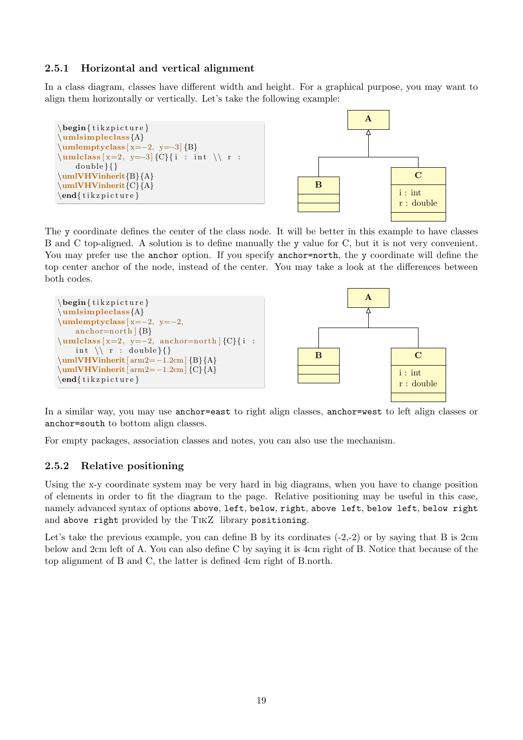## <span id="page-19-0"></span>2.5.1 Horizontal and vertical alignment

In a class diagram, classes have different width and height. For a graphical purpose, you may want to align them horizontally or vertically. Let's take the following example:



The y coordinate defines the center of the class node. It will be better in this example to have classes B and C top-aligned. A solution is to define manually the y value for C, but it is not very convenient. You may prefer use the anchor option. If you specify anchor=north, the y coordinate will define the top center anchor of the node, instead of the center. You may take a look at the differences between both codes.



In a similar way, you may use anchor=east to right align classes, anchor=west to left align classes or anchor=south to bottom align classes.

For empty packages, association classes and notes, you can also use the mechanism.

## <span id="page-19-1"></span>2.5.2 Relative positioning

Using the x-y coordinate system may be very hard in big diagrams, when you have to change position of elements in order to fit the diagram to the page. Relative positioning may be useful in this case, namely advanced syntax of options above, left, below, right, above left, below left, below right and above right provided by the TikZ library positioning.

Let's take the previous example, you can define B by its cordinates  $(-2,-2)$  or by saying that B is 2cm below and 2cm left of A. You can also define C by saying it is 4cm right of B. Notice that because of the top alignment of B and C, the latter is defined 4cm right of B.north.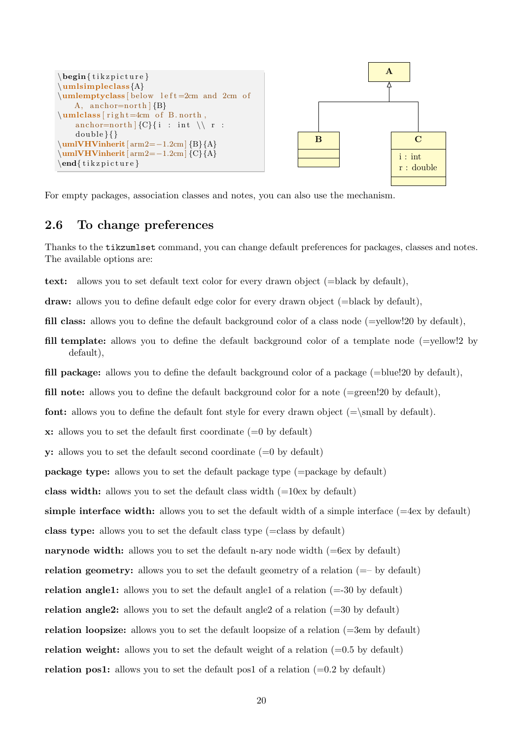

For empty packages, association classes and notes, you can also use the mechanism.

## <span id="page-20-0"></span>2.6 To change preferences

Thanks to the tikzumlset command, you can change default preferences for packages, classes and notes. The available options are:

text: allows you to set default text color for every drawn object (=black by default),

draw: allows you to define default edge color for every drawn object (=black by default),

fill class: allows you to define the default background color of a class node (=yellow!20 by default),

fill template: allows you to define the default background color of a template node (=yellow!2 by default),

fill package: allows you to define the default background color of a package  $(=\text{blue}!20 \text{ by default})$ ,

fill note: allows you to define the default background color for a note  $(=green!20$  by default),

**font:** allows you to define the default font style for every drawn object  $(=\mathbf{S} \cdot \mathbf{S})$  by default).

 $x:$  allows you to set the default first coordinate  $(=0$  by default)

**y:** allows you to set the default second coordinate  $(=0$  by default)

package type: allows you to set the default package type (=package by default)

class width: allows you to set the default class width  $(=10ex)$  by default)

simple interface width: allows you to set the default width of a simple interface  $(=4e<sub>x</sub>$  by default)

class type: allows you to set the default class type (=class by default)

narynode width: allows you to set the default n-ary node width  $(=6e<sub>x</sub>$  by default)

relation geometry: allows you to set the default geometry of a relation (=– by default)

relation angle1: allows you to set the default angle1 of a relation  $(=30 \text{ by default})$ 

relation angle2: allows you to set the default angle2 of a relation (=30 by default)

relation loopsize: allows you to set the default loopsize of a relation  $(=3em)$  by default)

relation weight: allows you to set the default weight of a relation  $(=0.5 \text{ by default})$ 

relation pos1: allows you to set the default pos1 of a relation  $(=0.2 \text{ by default})$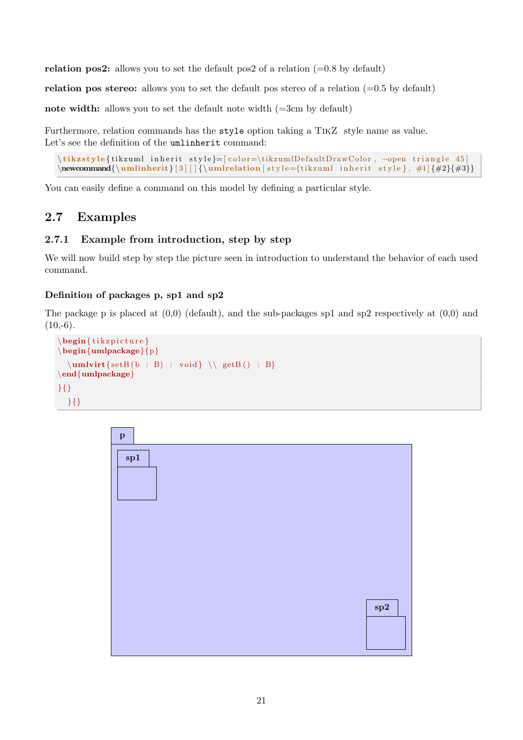relation pos2: allows you to set the default pos2 of a relation  $(=0.8 \text{ by default})$ 

relation pos stereo: allows you to set the default pos stereo of a relation  $(=0.5 \text{ by default})$ 

note width: allows you to set the default note width  $(=3cm)$  by default)

Furthermore, relation commands has the style option taking a TikZ style name as value. Let's see the definition of the umlinherit command:

```
\tikzstyle{tikzuml inherit style}=[color=\tikzumlDefaultDrawColor, -open triangle 45]
\newcommand{\\umlinnerit}{3} || {\umlinherit}3 | | {\umlrelation [style={tikzuml inherit style}, #1] {#2}{#3}}
```
You can easily define a command on this model by defining a particular style.

## <span id="page-21-0"></span>2.7 Examples

### <span id="page-21-1"></span>2.7.1 Example from introduction, step by step

We will now build step by step the picture seen in introduction to understand the behavior of each used command.

### Definition of packages p, sp1 and sp2

The package p is placed at  $(0,0)$  (default), and the sub-packages sp1 and sp2 respectively at  $(0,0)$  and  $(10,-6)$ .

```
\begin{cases} tikzpicture }
\begin{array}{c} \begin{umlpackage}{p}
  \mathbf{setB} ( b : B ) : void \ \ \setminus getB() : B\end{umlpackage}
}{}
  }{}
```
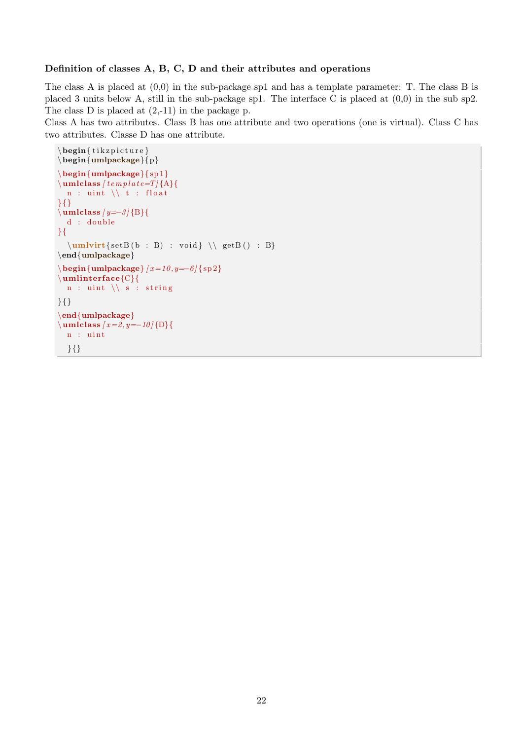#### Definition of classes A, B, C, D and their attributes and operations

The class A is placed at (0,0) in the sub-package sp1 and has a template parameter: T. The class B is placed 3 units below A, still in the sub-package sp1. The interface C is placed at (0,0) in the sub sp2. The class  $D$  is placed at  $(2,-11)$  in the package p.

Class A has two attributes. Class B has one attribute and two operations (one is virtual). Class C has two attributes. Classe D has one attribute.

```
\begin{cases} \begin{ t i k z p i c t u r e }
\begin{umlpackage}{p}
\begin{cases} \begin{cases} \text{sum} \left\{ \text{sp1} \right\} \end{cases} \end{cases}\mathcal{L} umlclass [ template=T] \{A\} {
  n : uint \setminus \setminus t : float
}{}
\mu=3 {B}{
  d : double
}{
   \umlvirt{setB ( b : B) : void } \ \gtrsim getB() : B}\end{umlpackage}
\begin{equation} \begin{array}{c} \text{tunneling} \end{array}\umlinterface{C}{
  n : uint \setminus s : string
}{}
\end{umlpackage}
\mathcal{L} \umlclass [x=2, y=-10 {D}{
  n : uint
  }{}
```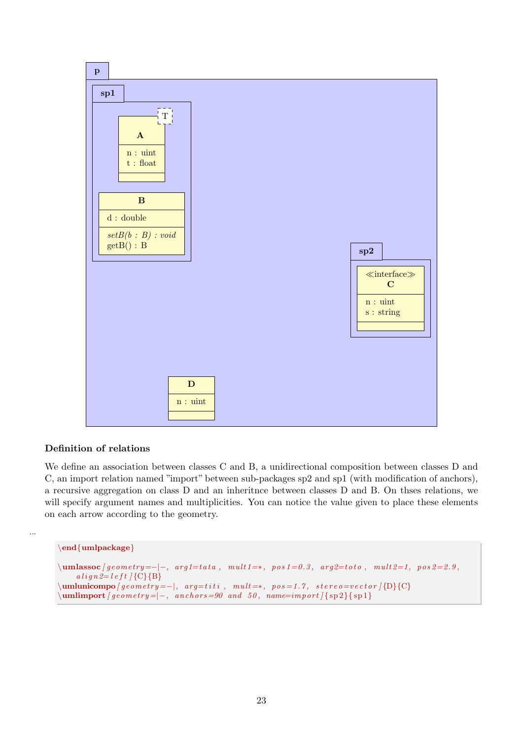

## Definition of relations

We define an association between classes C and B, a unidirectional composition between classes D and C, an import relation named "import" between sub-packages sp2 and sp1 (with modification of anchors), a recursive aggregation on class D and an inheritnce between classes D and B. On thses relations, we will specify argument names and multiplicities. You can notice the value given to place these elements on each arrow according to the geometry.

```
\end{umlpackage}
```
...

```
\mathcal{L} mulassoc [geometry=-|-, arg1=tata, mult 1=*, pos 1=0.3, arg2=toto, mult 2=1, pos 2=2.9,
          align 2= left / {C} {B}\{\text{uniform} \in \text{supp}( \text{supp}(x, \text{supp}(x, \text{supp}(x, \text{supp}(x, \text{supp}(x, \text{supp}(x, \text{supp}(x, \text{supp}(x, \text{supp}(x, \text{supp}(x, \text{supp}(x, \text{supp}(x, \text{supp}(x, \text{supp}(x, \text{supp}(x, \text{supp}(x, \text{supp}(x, \text{supp}(x, \text{supp}(x, \text{supp}(x, \text{supp}(x, \text{supp}(x, \text{supp}(x, \text{supp}(x, \text{supp}(x, \text{supp}(\sum_{\text{uniform} of } \{ geometry = |-, \text{ } anchors = 90 \text{ and } 50, \text{ } name = import / \{ sp2 \} \
```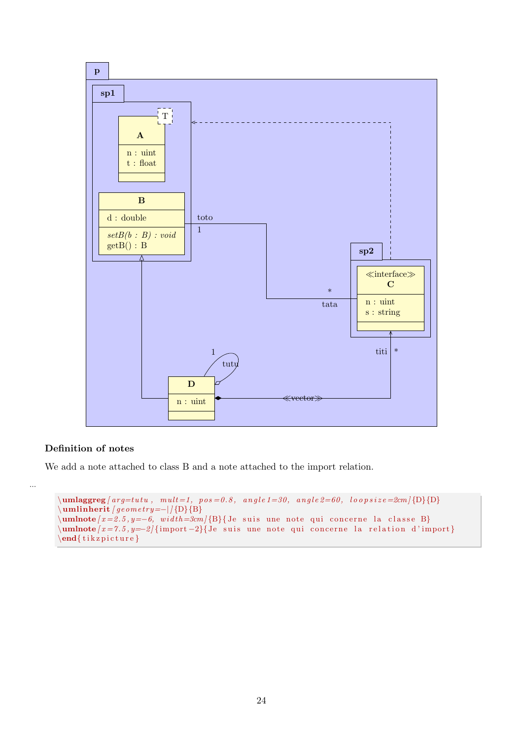

### Definition of notes

...

We add a note attached to class B and a note attached to the import relation.

```
\{\mathbf{unlaggreg} \mid arg = tutu, mult = 1, pos = 0.8, angle 1 = 30, angle 2 = 60, loop size = 2cm \{D\}\sum_{j=1}^{\infty} {D}{B}
\mu \umlnote [x = 2.5, y = -6, width = 3cm {B}{ Je suis une note qui concerne la classe B}
\mu | umlnote [x = 7.5, y = -2] { import -2}{Je suis une note qui concerne la relation d'import }
\end{math} tik z picture }
```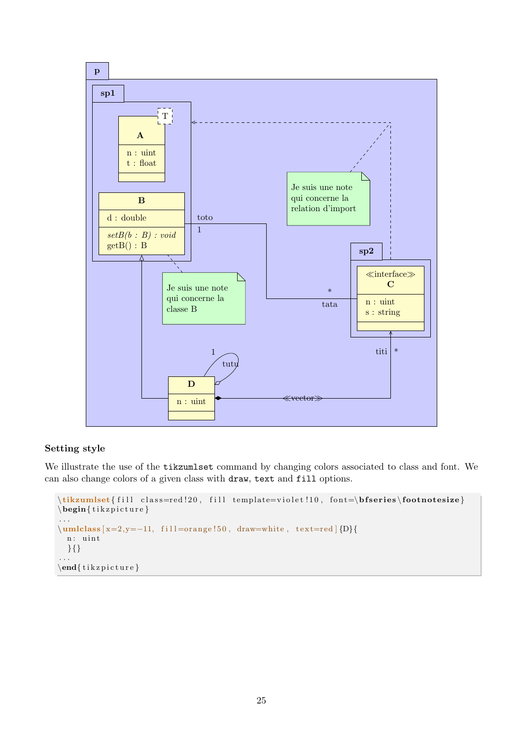

## Setting style

We illustrate the use of the tikzumlset command by changing colors associated to class and font. We can also change colors of a given class with draw, text and fill options.

```
\tilde{\tilde{f}} ill class=red !20, fill template=violet !10, font=\boldsymbol{\delta} footnotesize}
\begin{cases} \text{tikzpicture} \end{cases}. . .
\umlclass [x=2,y=−11, fill=orange!50, draw=white, text=red [{D}{
  n: uint
  }{}
. . .
\end{math} t ik z p i c t u r e }
```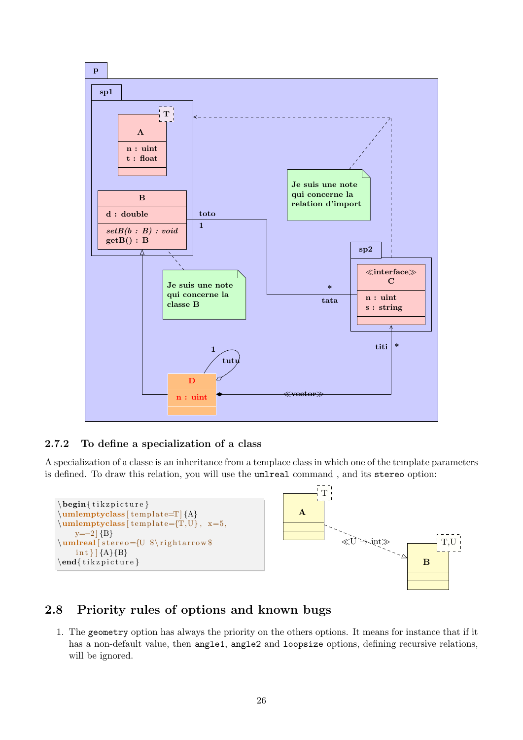

## <span id="page-26-0"></span>2.7.2 To define a specialization of a class

A specialization of a classe is an inheritance from a templace class in which one of the template parameters is defined. To draw this relation, you will use the umlreal command , and its stereo option:



## <span id="page-26-1"></span>2.8 Priority rules of options and known bugs

1. The geometry option has always the priority on the others options. It means for instance that if it has a non-default value, then angle1, angle2 and loopsize options, defining recursive relations, will be ignored.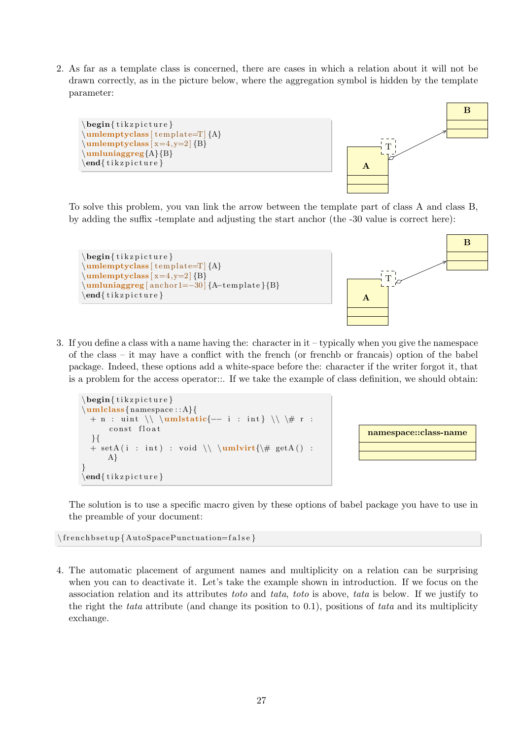2. As far as a template class is concerned, there are cases in which a relation about it will not be drawn correctly, as in the picture below, where the aggregation symbol is hidden by the template parameter:



To solve this problem, you van link the arrow between the template part of class A and class B, by adding the suffix -template and adjusting the start anchor (the -30 value is correct here):



3. If you define a class with a name having the: character in it – typically when you give the namespace of the class – it may have a conflict with the french (or frenchb or francais) option of the babel package. Indeed, these options add a white-space before the: character if the writer forgot it, that is a problem for the access operator::. If we take the example of class definition, we should obtain:

```
\begin{cases} begin{ tikzpicture }
\umlclass{namespace : : A}{
  + n : uint \\ \umlstatic{-- i : int } \\ \# r :
       const float
  }{
  + setA ( i : int ) : void \ \ \ \ \ \ \ \ \ \ \ \ \ \ \ getA() :A}
}
\end{math} tik z p i c t u r e }
```


The solution is to use a specific macro given by these options of babel package you have to use in the preamble of your document:

 $\{ {\rm AutoSpacePunction} = {\rm false} \}$ 

4. The automatic placement of argument names and multiplicity on a relation can be surprising when you can to deactivate it. Let's take the example shown in introduction. If we focus on the association relation and its attributes toto and tata, toto is above, tata is below. If we justify to the right the tata attribute (and change its position to  $(0.1)$ , positions of tata and its multiplicity exchange.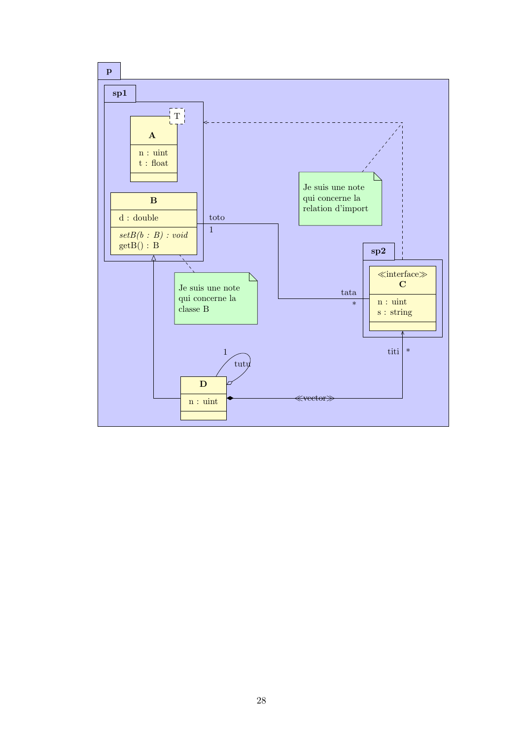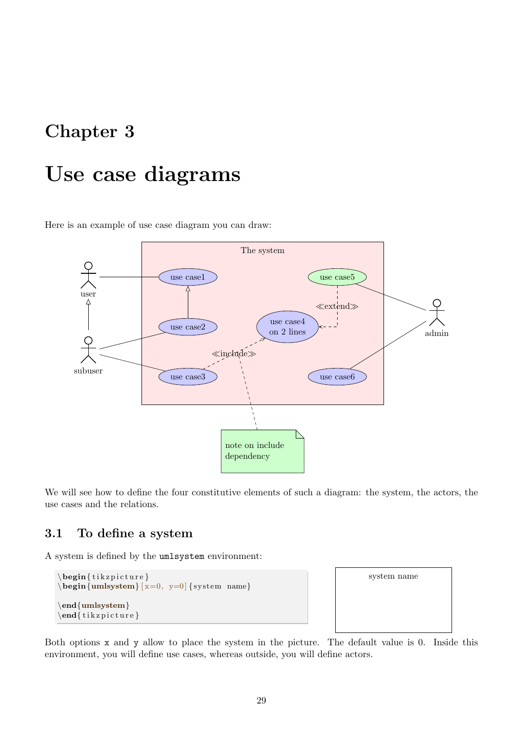## <span id="page-29-0"></span>Chapter 3

# Use case diagrams

Here is an example of use case diagram you can draw:



We will see how to define the four constitutive elements of such a diagram: the system, the actors, the use cases and the relations.

## <span id="page-29-1"></span>3.1 To define a system

A system is defined by the umlsystem environment:

```
\begin{cases} begin{ tikzpicture }
\begin{cases} x=0, & y=0 \end{cases} { system name}
\end{umlsystem}
\end{math} (tikzpicture)
```


Both options x and y allow to place the system in the picture. The default value is 0. Inside this environment, you will define use cases, whereas outside, you will define actors.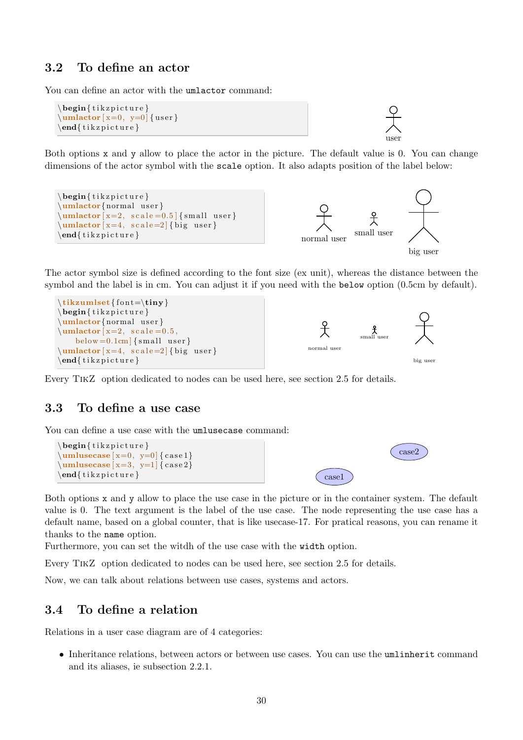## <span id="page-30-0"></span>3.2 To define an actor

You can define an actor with the umlactor command:

```
\begin{cases} tikzpicture }
\mathcal{L} \umlactor [x=0, y=0] { user }
\end{math} (tikzpicture)
```
Both options x and y allow to place the actor in the picture. The default value is 0. You can change dimensions of the actor symbol with the scale option. It also adapts position of the label below:

user

case2



The actor symbol size is defined according to the font size (ex unit), whereas the distance between the symbol and the label is in cm. You can adjust it if you need with the below option (0.5cm by default).



Every TikZ option dedicated to nodes can be used here, see [section 2.5](#page-18-1) for details.

## <span id="page-30-1"></span>3.3 To define a use case

You can define a use case with the **umlusecase** command:

```
\begin{cases} begin{ tikzpicture }
\{\mathbf{unlusecase} \mid \mathbf{x=0}, \mathbf{y=0} \} (case 1)
\umlusecase [ x=3, y=1] { case 2}\text{end} \{ t ik z p i c t u r e } case1
```
Both options x and y allow to place the use case in the picture or in the container system. The default value is 0. The text argument is the label of the use case. The node representing the use case has a default name, based on a global counter, that is like usecase-17. For pratical reasons, you can rename it thanks to the name option.

Furthermore, you can set the witdh of the use case with the width option.

Every TikZ option dedicated to nodes can be used here, see [section 2.5](#page-18-1) for details.

Now, we can talk about relations between use cases, systems and actors.

## <span id="page-30-2"></span>3.4 To define a relation

Relations in a user case diagram are of 4 categories:

• Inheritance relations, between actors or between use cases. You can use the umlinherit command and its aliases, ie [subsection 2.2.1.](#page-8-1)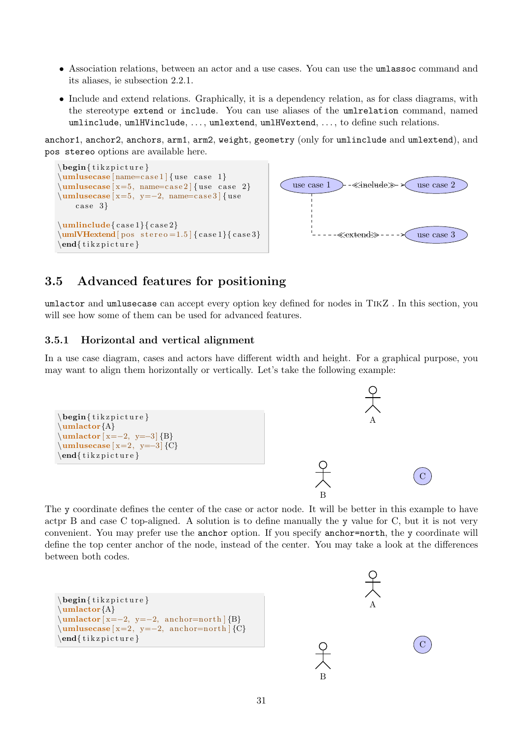- Association relations, between an actor and a use cases. You can use the umlassoc command and its aliases, ie [subsection 2.2.1.](#page-8-1)
- Include and extend relations. Graphically, it is a dependency relation, as for class diagrams, with the stereotype extend or include. You can use aliases of the umlrelation command, named umlinclude, umlHVinclude, . . . , umlextend, umlHVextend, . . . , to define such relations.

[anchor1](#page-14-2), [anchor2](#page-14-3), [anchors](#page-14-4), [arm1](#page-11-1), [arm2](#page-11-2), [weight](#page-11-3), [geometry](#page-10-1) (only for umlinclude and umlextend), and [pos stereo](#page-13-3) options are available here.



## <span id="page-31-0"></span>3.5 Advanced features for positioning

umlactor and umlusecase can accept every option key defined for nodes in TikZ . In this section, you will see how some of them can be used for advanced features.

#### <span id="page-31-1"></span>3.5.1 Horizontal and vertical alignment

In a use case diagram, cases and actors have different width and height. For a graphical purpose, you may want to align them horizontally or vertically. Let's take the following example:



The y coordinate defines the center of the case or actor node. It will be better in this example to have actpr B and case C top-aligned. A solution is to define manually the y value for C, but it is not very convenient. You may prefer use the anchor option. If you specify anchor=north, the y coordinate will define the top center anchor of the node, instead of the center. You may take a look at the differences between both codes.

```
\begin{cases} begin{ tikzpicture }
\umlactor{A}
\mathbf{w} = -2, y=-2, \text{anchor} = \{B\}\umlusecase [ x=2, y=-2, anchor=north ] {C}\end{math} (tikzpicture)
```


B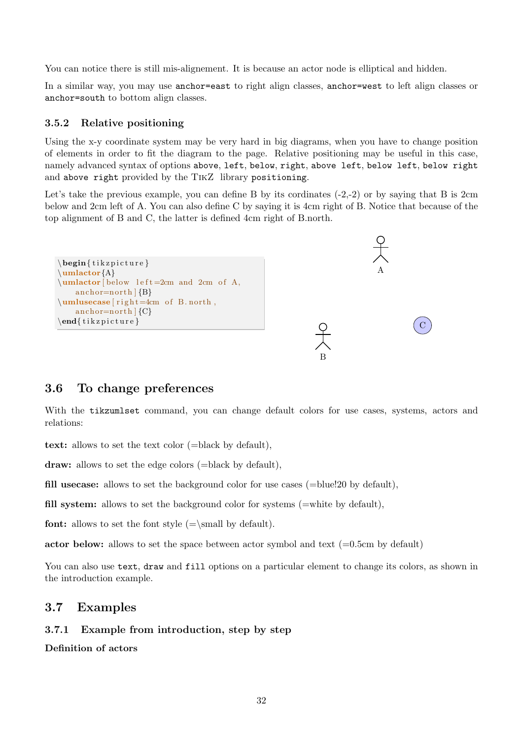You can notice there is still mis-alignement. It is because an actor node is elliptical and hidden.

In a similar way, you may use anchor=east to right align classes, anchor=west to left align classes or anchor=south to bottom align classes.

#### <span id="page-32-0"></span>3.5.2 Relative positioning

Using the x-y coordinate system may be very hard in big diagrams, when you have to change position of elements in order to fit the diagram to the page. Relative positioning may be useful in this case, namely advanced syntax of options above, left, below, right, above left, below left, below right and above right provided by the TikZ library positioning.

Let's take the previous example, you can define B by its cordinates  $(-2,-2)$  or by saying that B is 2cm below and 2cm left of A. You can also define C by saying it is 4cm right of B. Notice that because of the top alignment of B and C, the latter is defined 4cm right of B.north.

A

C

```
\begin{cases} begin{ tikzpicture }
\umlactor{A}
\mathbf{h} left =2cm and 2cm of A,
    anchor=north \{B\}\umlusecase [right =4cm of B.north,
    anchor=north (C)\end{math} (tikzpicture)
```
## <span id="page-32-1"></span>3.6 To change preferences

With the tikzumlset command, you can change default colors for use cases, systems, actors and relations:

B

text: allows to set the text color (=black by default),

draw: allows to set the edge colors (=black by default),

fill usecase: allows to set the background color for use cases (=blue!20 by default),

fill system: allows to set the background color for systems (=white by default),

**font:** allows to set the font style  $(=\mathbf{I})$  by default).

actor below: allows to set the space between actor symbol and text  $(=0.5cm)$  by default)

You can also use text, draw and fill options on a particular element to change its colors, as shown in the introduction example.

## <span id="page-32-2"></span>3.7 Examples

#### <span id="page-32-3"></span>3.7.1 Example from introduction, step by step

Definition of actors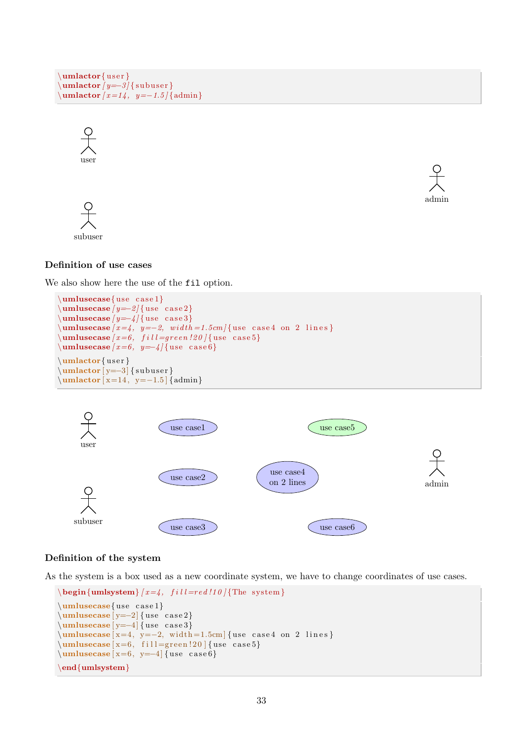```
\mathbf{u} and \mathbf{u} are \mathbf{u}\mathbf{umlactor} [ y=-3 ] { subuser }
\umlactor [ x=14 , y=−1.5 ] {admin}
```






### Definition of use cases

We also show here the use of the fil option.

```
\mathbf{u}umlusecase\{use case1\}\mathbf{umlusecase} [ y=-2 ] { use case 2 }
\umlusecase / y=-4 { use case 3}
\{\mathbf{umlusecase} \mid x=4, y=-2, width=1.5cm \} {use case4 on 2 lines}
\mathbf{u} umlusecase \{ x=6, \, \text{fill}=green \, !20 \, \} use case 5}
\mathbf{umlusecase} [ x=6, y=-4 ] { use case 6}
\mathbf{u} umlactor \{\text{user}\}\sum_{y=-3}{ subuser }
\{\mathbf{u}\times [x=14, y=-1.5] {admin}
```


### Definition of the system

As the system is a box used as a new coordinate system, we have to change coordinates of use cases.

```
\begin{cases} \text{tational} \{ x=4, \text{full} = red!10 \} \text{The system} \end{cases}\umlusecase\{use case1\}\umlusecase [y=−2] { use case 2}
\sum_{y=-4}{ use case 3}
\{\text{umlusecase} \mid x=4, y=-2, width=1.5cm \} {use case4 on 2 lines}
\umlusecase [ x=6, fill=green!20] { use case5}\umlusecase [x=6, y=−4] { use case 6}
\end{umlsystem}
```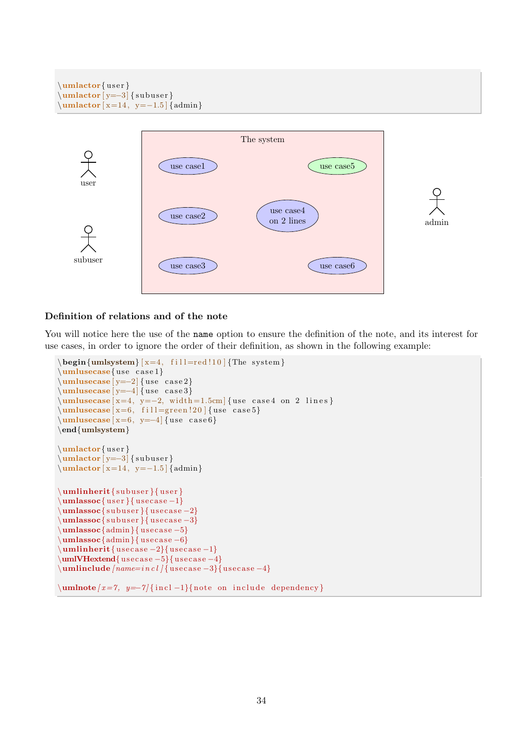```
\mathbf{u} umlactor \{\text{user}\}\mathcal{L} \umlactor [y=-3] { subuser }
\mathcal{L} \umlactor [x=14, y=-1.5] {admin}
```


#### Definition of relations and of the note

You will notice here the use of the name option to ensure the definition of the note, and its interest for use cases, in order to ignore the order of their definition, as shown in the following example:

```
\begin{cases} \text{unlsystem} \ [x=4, \text{ fill} = red!10] \{ \text{The system} \} \end{cases}\mathsf{use}{use case1}
\umlusecase [ y=-2] { use case2}\{\{umlusecase [y=-4] { use case 3}
\{\text{umlusecase} \mid x=4, y=-2, width=1.5cm \} {use case4 on 2 lines}
\umlusecase [ x=6, fill=green!20 ] { use case 5}\{\{umlusecase} [ x=6, y=-4] \{ use case 6\}
\end{umlsystem}
\mathbf{u} umlactor \{ user \}\mathrm{z}=-3} { subuser }
\mathrm{x=14}, y=-1.5 {admin}
\mathbf{ umlinherit\mathbf{s ubuser }{ user }
\mathbf{umlassoc}{ user }{ usecase -1}
\mathbf{sumlassoc} { subuser } { usecase -2}
\umlassoc{ subuser }{ usecase -3}
\umlassoc{admin}{tusecase -5}\umlassoc{admin}{tusecase -6}\mathbf{u} and \mathbf{u} are case -2}{ use case -1}
\umlVHextend{ usecase -5}{ usecase -4}
\mathcal{L} | umlinclude [ name = i n c l ] { usecase -3}{ usecase -4}
```

```
\mathbf{w} = \frac{z-7}{y-7} {incl -1}{note on include dependency}
```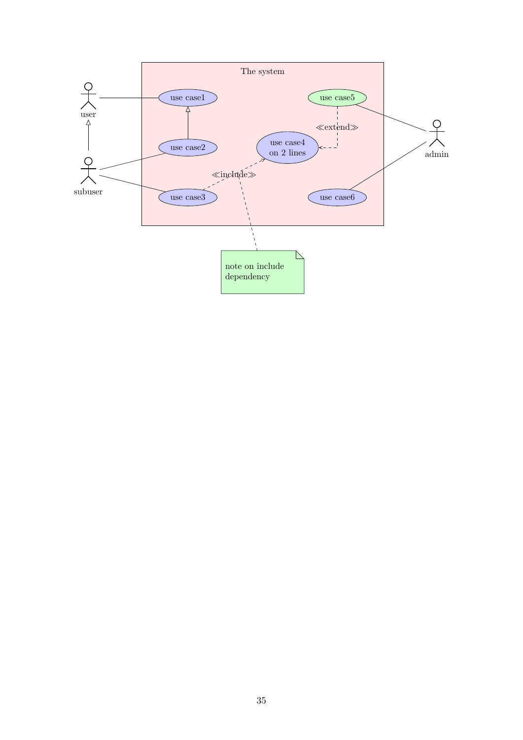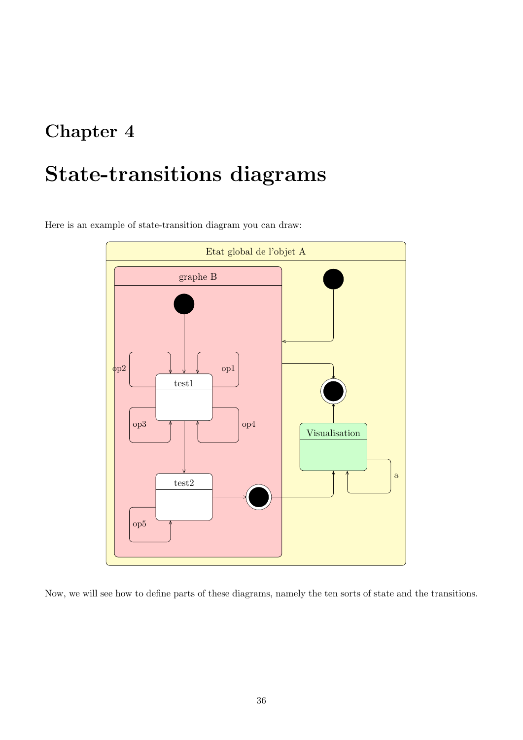## <span id="page-36-0"></span>Chapter 4

# State-transitions diagrams

Here is an example of state-transition diagram you can draw:



Now, we will see how to define parts of these diagrams, namely the ten sorts of state and the transitions.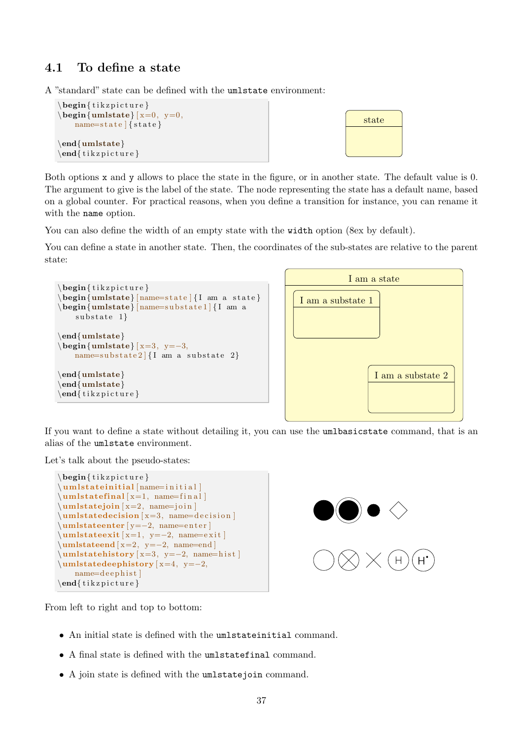## <span id="page-37-0"></span>4.1 To define a state

A "standard" state can be defined with the umlstate environment:



Both options x and y allows to place the state in the figure, or in another state. The default value is 0. The argument to give is the label of the state. The node representing the state has a default name, based on a global counter. For practical reasons, when you define a transition for instance, you can rename it with the name option.

You can also define the width of an empty state with the width option (8ex by default).

You can define a state in another state. Then, the coordinates of the sub-states are relative to the parent state:



If you want to define a state without detailing it, you can use the umlbasicstate command, that is an alias of the umlstate environment.

Let's talk about the pseudo-states:

```
\begin{cases} begin{ tikzpicture }
\um lstate in itial [name=initial]
\umlstatefinal [x=1, name=fin al]\umlstatejoin [ x=2, name=join ]\umlstate decision [ x=3, name=decision ]\umlstateenter [ y=−2, name=e n t e r ]
\mathbf{u} m lstateexit [x=1, y=-2, name=exit]\mathbf{u} = 2, y=-2, name=end\umlstatehistory [ x=3, y=-2, name=hist ]\sum_{x=4, y=-2,}name=d e e p hi s t ]
\end{math} (tikzpicture)
```


From left to right and top to bottom:

- An initial state is defined with the umlstateinitial command.
- A final state is defined with the umlstatefinal command.
- A join state is defined with the umlstatejoin command.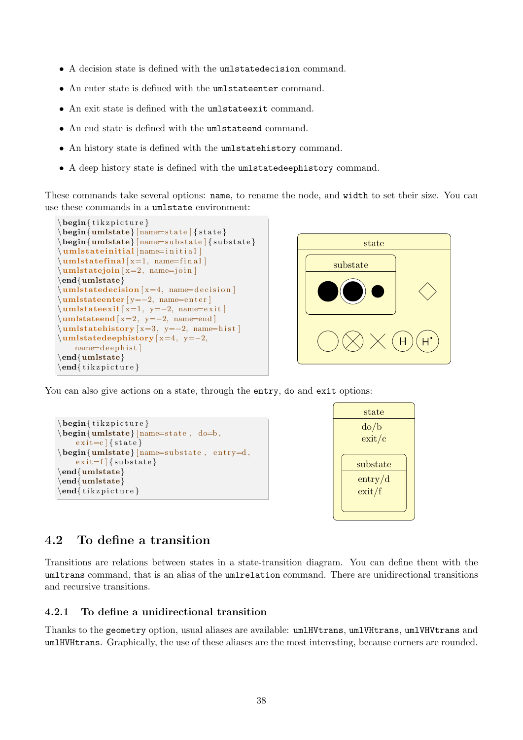- A decision state is defined with the umlstatedecision command.
- An enter state is defined with the umlstateenter command.
- An exit state is defined with the umlstateexit command.
- An end state is defined with the umlstateend command.
- An history state is defined with the umlstatehistory command.
- A deep history state is defined with the umlstatedeephistory command.

These commands take several options: name, to rename the node, and width to set their size. You can use these commands in a umlstate environment:

```
\begin{cases} begin{ tikzpicture }
\begin{cases} \text{umlstate} \mid \text{name} = \text{state} \mid \text{state} \end{cases}\begin{cases} \text{umlstate} \left( \text{name} = \text{substate} \right) \end{cases}\um lstate initial | name=initial
\mathbf{u} m lstate final [x=1, \text{name}=fin al]\umlstatejoin [ x=2, name=join ]\end{umlstate}
\mathbf{l} umlstatedecision [x=4, \text{ name=decision}]\umlstateenter [ y=−2, name=e n t e r ]
\sum_{x=1, y=-2, name=exit}\mathbf{u} = 2, y=-2, name=end\sum_{x=3, y=-2, name=hist}\mathcal{L}umlstatedeephistory [x=4, y=−2,
    name=d e e p hi s t ]
\end{umlstate}
\end{math} (tik z p i c t u r e }
```


You can also give actions on a state, through the entry, do and exit options:

```
\begin{cases} begin{ tikzpicture }
\begin{cases} \text{umlstate} \mid \text{name}=state, \text{ do=b}, \end{cases}exit=c { state }
\begin{cases} \text{number of } n \in \mathbb{Z} \leq x \leq d, \\ \text{number of } n \in \mathbb{Z} \leq d. \end{cases}exit=f { substate }
\end{umlstate}
\end{umlstate}
\end{math} (tikzpicture)
```


## <span id="page-38-0"></span>4.2 To define a transition

Transitions are relations between states in a state-transition diagram. You can define them with the umltrans command, that is an alias of the umlrelation command. There are unidirectional transitions and recursive transitions.

### <span id="page-38-1"></span>4.2.1 To define a unidirectional transition

Thanks to the geometry option, usual aliases are available: umlHVtrans, umlVHtrans, umlVHVtrans and umlHVHtrans. Graphically, the use of these aliases are the most interesting, because corners are rounded.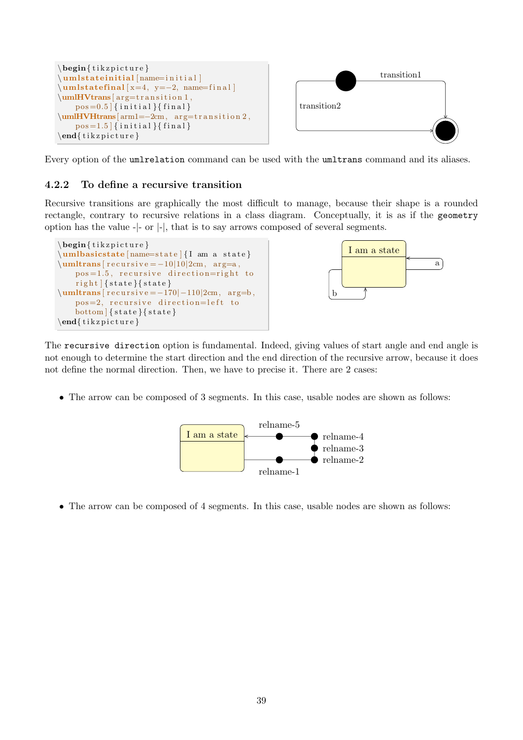

Every option of the umlrelation command can be used with the umltrans command and its aliases.

## <span id="page-39-0"></span>4.2.2 To define a recursive transition

Recursive transitions are graphically the most difficult to manage, because their shape is a rounded rectangle, contrary to recursive relations in a class diagram. Conceptually, it is as if the geometry option has the value -|- or |-|, that is to say arrows composed of several segments.





The recursive direction option is fundamental. Indeed, giving values of start angle and end angle is not enough to determine the start direction and the end direction of the recursive arrow, because it does not define the normal direction. Then, we have to precise it. There are 2 cases:

• The arrow can be composed of 3 segments. In this case, usable nodes are shown as follows:



• The arrow can be composed of 4 segments. In this case, usable nodes are shown as follows: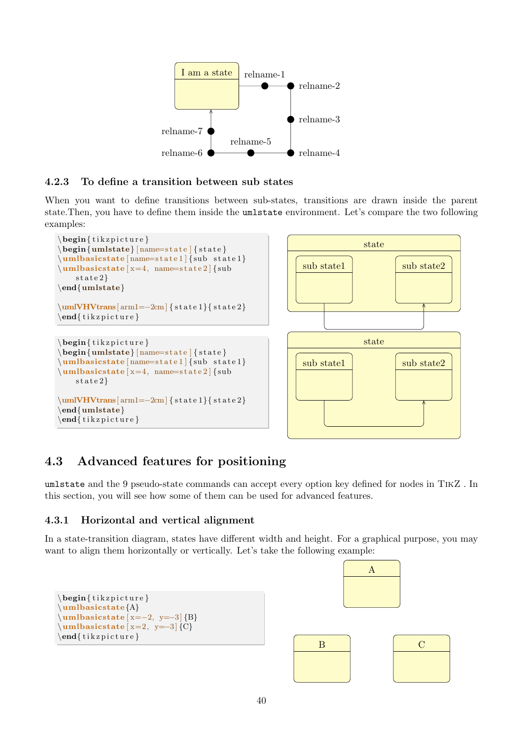

## <span id="page-40-0"></span>4.2.3 To define a transition between sub states

When you want to define transitions between sub-states, transitions are drawn inside the parent state.Then, you have to define them inside the umlstate environment. Let's compare the two following examples:



## <span id="page-40-1"></span>4.3 Advanced features for positioning

umlstate and the 9 pseudo-state commands can accept every option key defined for nodes in TikZ . In this section, you will see how some of them can be used for advanced features.

## <span id="page-40-2"></span>4.3.1 Horizontal and vertical alignment

In a state-transition diagram, states have different width and height. For a graphical purpose, you may want to align them horizontally or vertically. Let's take the following example:

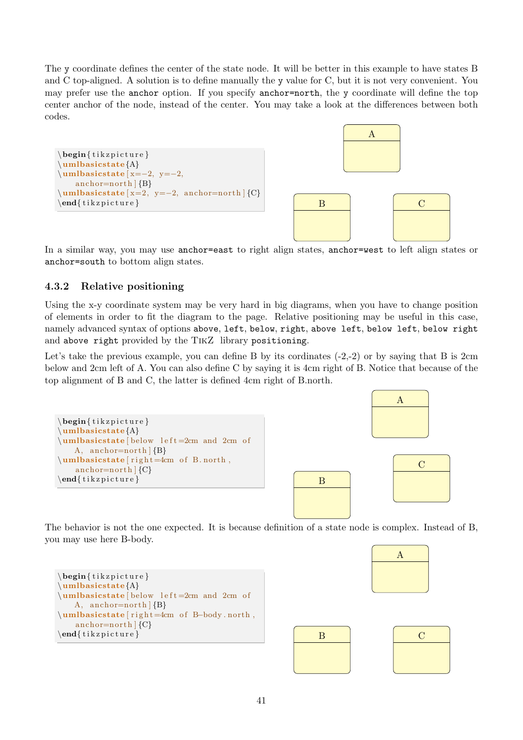The y coordinate defines the center of the state node. It will be better in this example to have states B and C top-aligned. A solution is to define manually the y value for C, but it is not very convenient. You may prefer use the anchor option. If you specify anchor=north, the y coordinate will define the top center anchor of the node, instead of the center. You may take a look at the differences between both codes.



In a similar way, you may use anchor=east to right align states, anchor=west to left align states or anchor=south to bottom align states.

## <span id="page-41-0"></span>4.3.2 Relative positioning

Using the x-y coordinate system may be very hard in big diagrams, when you have to change position of elements in order to fit the diagram to the page. Relative positioning may be useful in this case, namely advanced syntax of options above, left, below, right, above left, below left, below right and above right provided by the TikZ library positioning.

Let's take the previous example, you can define B by its cordinates  $(-2,-2)$  or by saying that B is 2cm below and 2cm left of A. You can also define C by saying it is 4cm right of B. Notice that because of the top alignment of B and C, the latter is defined 4cm right of B.north.



The behavior is not the one expected. It is because definition of a state node is complex. Instead of B, you may use here B-body.

```
\begin{cases} begin{ tikzpicture }
\umlbasicstate{A}
\umlbasicstate [ below left =2cm and 2cm of
    A, anchor=north |{B}\rangle\umlbasicstate [ r i g h t=4cm o f B−body . north ,
    anchor=north |\n{C}\n\end{math} (tikzpicture)
```


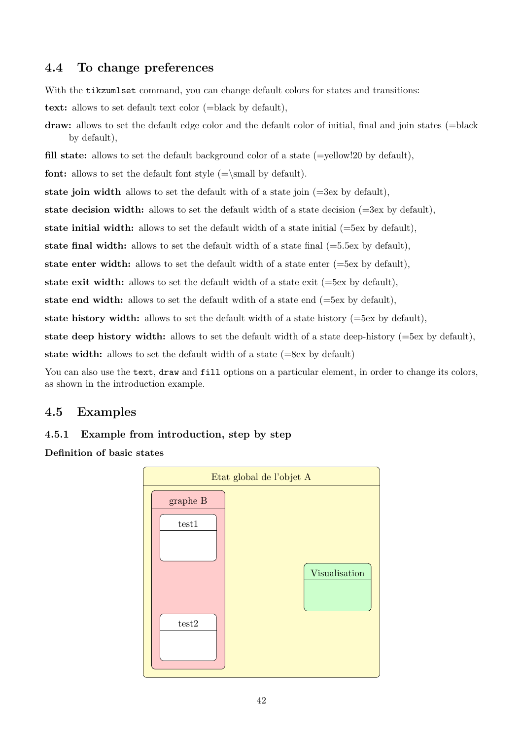## <span id="page-42-0"></span>4.4 To change preferences

With the tikzumlset command, you can change default colors for states and transitions:

text: allows to set default text color (=black by default),

draw: allows to set the default edge color and the default color of initial, final and join states (=black by default),

fill state: allows to set the default background color of a state  $(=$ yellow!20 by default),

**font:** allows to set the default font style  $(=\mathbf{w})$ .

state join width allows to set the default with of a state join  $(=\s$ sex by default),

state decision width: allows to set the default width of a state decision  $(=3e<sub>x</sub>$  by default),

state initial width: allows to set the default width of a state initial  $(=5e<sub>x</sub>$  by default),

state final width: allows to set the default width of a state final  $(=5.5ex)$  by default),

state enter width: allows to set the default width of a state enter  $(=5ex$  by default),

state exit width: allows to set the default width of a state exit  $(=\delta$ ex by default),

state end width: allows to set the default wdith of a state end  $(=5ex)$  by default),

state history width: allows to set the default width of a state history  $(=5e<sub>x</sub>$  by default),

state deep history width: allows to set the default width of a state deep-history  $(=5e<sub>x</sub>$  by default),

state width: allows to set the default width of a state (=8ex by default)

You can also use the text, draw and fill options on a particular element, in order to change its colors, as shown in the introduction example.

## <span id="page-42-1"></span>4.5 Examples

## <span id="page-42-2"></span>4.5.1 Example from introduction, step by step

Definition of basic states

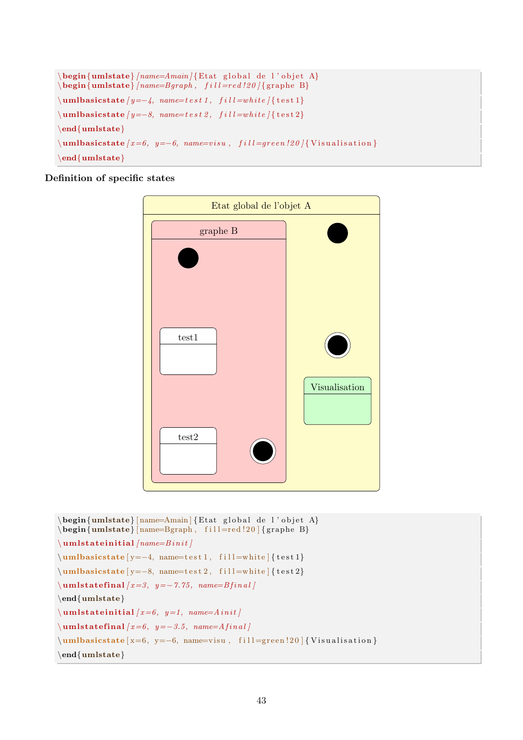```
\begin{cases} \frac{1}{\text{t}} \left\{ \frac{1}{\text{t}} \right\} = \frac{A}{\text{t}} \left\{ \frac{1}{\text{t}} \right\} \left\{ \frac{1}{\text{t}} \right\} \left\{ \frac{1}{\text{t}} \right\} \left\{ \frac{1}{\text{t}} \right\} \left\{ \frac{1}{\text{t}} \right\} \left\{ \frac{1}{\text{t}} \right\} \left\{ \frac{1}{\text{t}} \right\} \left\{ \frac{1}{\text{t}} \right\} \left\{ \frac{1}{\text{t}} \right\} \left\{ \frac{1}{\text{t}}\begin{cases} \text{tational} \cdot f_{\text{m}} & \text{if } \text{u} = \text{r} \cdot d \cdot 20 \text{ for } \text{p} \cdot \text{B} \end{cases}\{\mathbf{u} = -4, \mathbf{n} = test1, \ \mathbf{f} = white \} { test 1}
\mathcal{L} milbasicstate [y=-8, name=test 2, fill=white { test 2}
\end{math}\{\mathbf{unlbasicstate}\{x=6, y=-6, name=visu, fill=green!20\} {Visualisation }
\end{umlstate}
```
### Definition of specific states



```
\begin{cases} \text{umlstate} \quad \text{Amain} \quad \text{global de l'objet A} \end{cases}\begin{bmatrix} \text{umlstate} \end{bmatrix} [name=Bgraph, fill=red !20 ] { graphe B}
\mathcal{L} um lstate initial [name=Binit]
\umlbasicstate [ y = -4, name=test 1, fill =white ] { test 1}
\umlbasicstate [ y=-8, name=test 2, fill=white] { test 2}\mathbf{u} lum lstate final [x=3, y=-7.75, name=Bi[1]\end{umlstate}
\mathcal{L} um lstate initial \{x=6, y=1, name=A\,init\}\mathbf{u} lum lstate final [x=6, y=-3.5, name=Afinal]\mu\hbox{m!basicstate} [x=6, y=−6, name=visu, fill=green !20 ] { Visualisation }
\end{umlstate}
```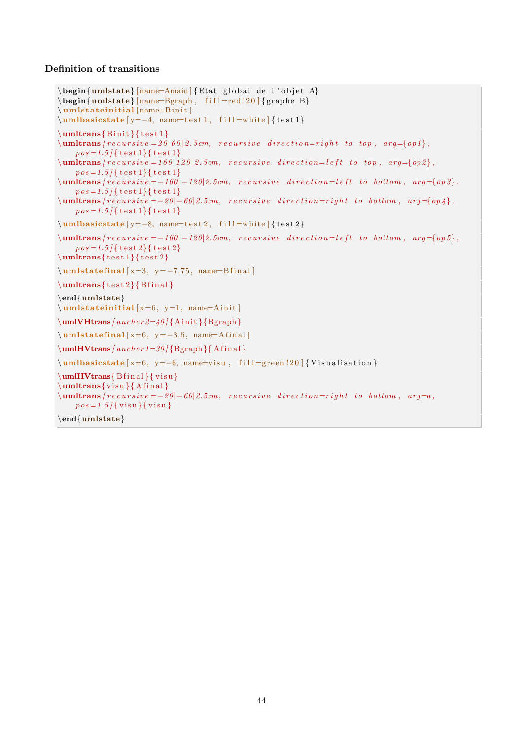### Definition of transitions

```
\begin{bmatrix} \mathbf{u} & \mathbf{v} \end{bmatrix} [name=Amain] {Etat global de l'objet A}
\begin{bmatrix} \text{umlstate} \end{bmatrix} [name=Bgraph, fill=red !20 ] { graphe B}
\um lstateinitial [name=Binit]
\umlbasicstate [ y = −4, name=test 1, fill =white ] { test 1}
\mathbf{Binit}{ test 1}
\sum_{n=1}^{\infty} [ recursive = 20|60|2.5cm, recursive direction=right to top, arg={op1}.
    pos = 1.5 {\{\text{test 1}\}\text{test 1}\}\text{lumltrans}/\text{recursive} = 160|120|2.5cm, \text{recursive direction} = left to top, \text{arg=}\{op2\},\}pos = 1.5 {\{\text{test 1}\}\text{test 1}}\sum_{i=1}^n /umltrans |recursion = -160| - 120|2.5cm, recursion = 0 arg={0p 3},
    pos = 1.5 | { t e s t 1 } { t e s t 1 }
\{\mathbf{unitrans} \} recursive = -20|-60|2.5cm, recursive direction=right to bottom, arg={op4},
    pos=1.5 {\{\text{test 1}\}\text{test 1}\}\umlbasicstate [ y=-8, name=test 2, fill=white] { test 2}\{\mathbf{unitrans} / recursive = -160|-120|2.5cm, recursive direction=left to bottom, arg={op5}\},\pos=1.5 {\{\text{test }2\}} {\text{test }2\}}\mathcal{S} test 1}{ test 2}
\umlstatefinal [x=3, y=-7.75, name=Bfinal]\mathcal{F} test 2}{ B final }
\end{umlstate}
\mathbf{u} m lstate initial [x=6, y=1, name=A\text{init}]\umIVHtrans /anchor 2=40 { Ainit } { Bgraph }
\mu latefinal [x=6, y=−3.5, name=Afinal]
\mathbf{Vtrans} [anchor 1=30] {Bgraph } {Afinal }
\umlbasicstate [x=6, y=−6, name=visu, fill=green !20 ] { Visualisation }
\mathbf{Vtrans} Bfinal { visu }
\mathbf{w} { visu } { A final }
\mathcal{L} \umltrans frecursive = -20|-60|2.5cm, recursive direction=right to bottom, arg=a,
    pos = 1.5 \{visu\} { visu }
\end{umlstate}
```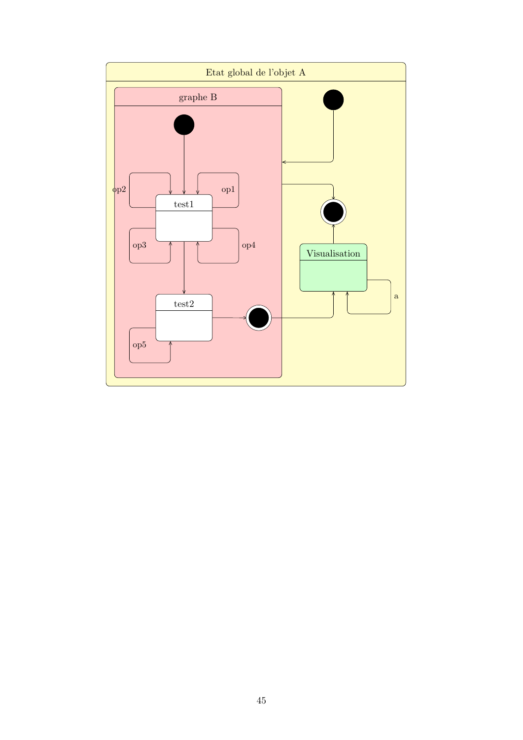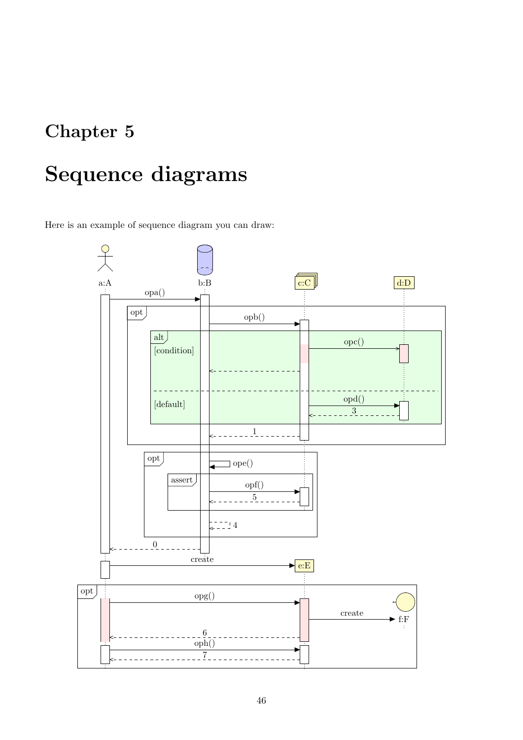## <span id="page-46-0"></span>Chapter 5

# Sequence diagrams

Here is an example of sequence diagram you can draw:

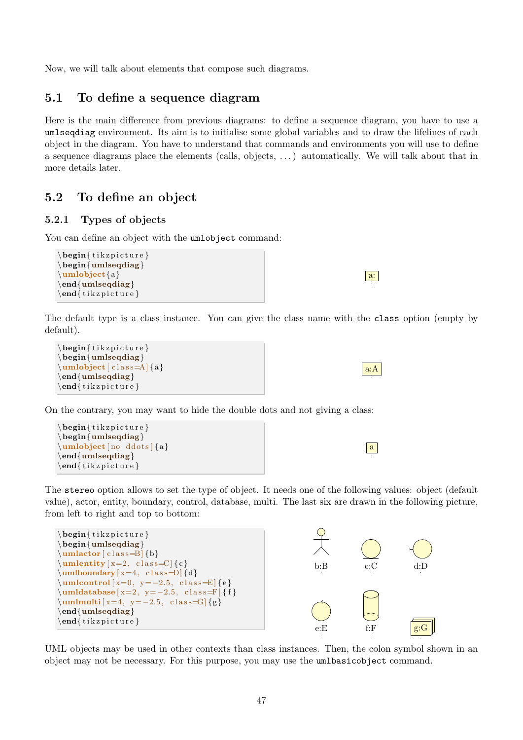Now, we will talk about elements that compose such diagrams.

## <span id="page-47-0"></span>5.1 To define a sequence diagram

Here is the main difference from previous diagrams: to define a sequence diagram, you have to use a umlseqdiag environment. Its aim is to initialise some global variables and to draw the lifelines of each object in the diagram. You have to understand that commands and environments you will use to define a sequence diagrams place the elements (calls, objects, . . . ) automatically. We will talk about that in more details later.

## <span id="page-47-1"></span>5.2 To define an object

## <span id="page-47-2"></span>5.2.1 Types of objects

You can define an object with the umlobject command:

```
\begin{cases} begin{ tikzpicture }
\begin{umlseqdiag}
\umlobject{a}
\end{umlseqdiag}
\end{math} (tikzpicture)
```
The default type is a class instance. You can give the class name with the class option (empty by default).

```
\begin{cases} begin{ tikzpicture }
\begin{umlseqdiag}
\mu\\end{imlseqdiag}\end{math} (tik z p i c t u r e }
```
On the contrary, you may want to hide the double dots and not giving a class:



| ., |
|----|
|    |
|    |
|    |
|    |

a:

a:A

The stereo option allows to set the type of object. It needs one of the following values: object (default value), actor, entity, boundary, control, database, multi. The last six are drawn in the following picture, from left to right and top to bottom:



UML objects may be used in other contexts than class instances. Then, the colon symbol shown in an object may not be necessary. For this purpose, you may use the umlbasicobject command.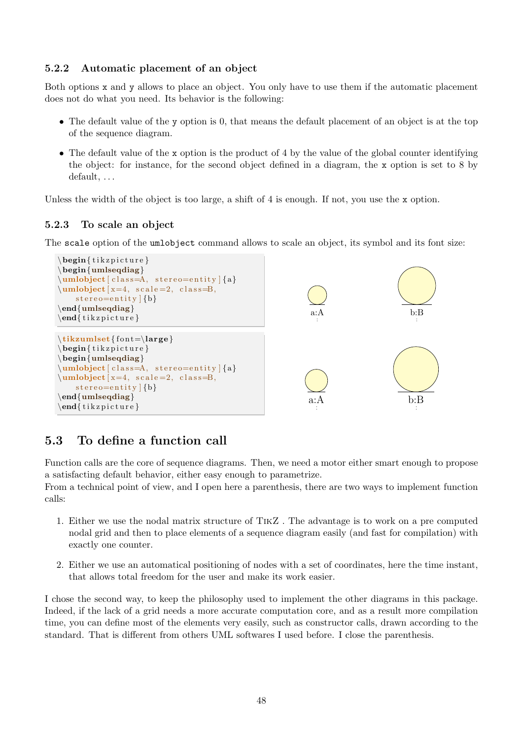## <span id="page-48-0"></span>5.2.2 Automatic placement of an object

Both options x and y allows to place an object. You only have to use them if the automatic placement does not do what you need. Its behavior is the following:

- The default value of the y option is 0, that means the default placement of an object is at the top of the sequence diagram.
- The default value of the x option is the product of 4 by the value of the global counter identifying the object: for instance, for the second object defined in a diagram, the x option is set to 8 by default, ...

Unless the width of the object is too large, a shift of 4 is enough. If not, you use the x option.

## <span id="page-48-1"></span>5.2.3 To scale an object

The scale option of the umlobject command allows to scale an object, its symbol and its font size:



## <span id="page-48-2"></span>5.3 To define a function call

Function calls are the core of sequence diagrams. Then, we need a motor either smart enough to propose a satisfacting default behavior, either easy enough to parametrize.

From a technical point of view, and I open here a parenthesis, there are two ways to implement function calls:

- 1. Either we use the nodal matrix structure of TikZ . The advantage is to work on a pre computed nodal grid and then to place elements of a sequence diagram easily (and fast for compilation) with exactly one counter.
- 2. Either we use an automatical positioning of nodes with a set of coordinates, here the time instant, that allows total freedom for the user and make its work easier.

I chose the second way, to keep the philosophy used to implement the other diagrams in this package. Indeed, if the lack of a grid needs a more accurate computation core, and as a result more compilation time, you can define most of the elements very easily, such as constructor calls, drawn according to the standard. That is different from others UML softwares I used before. I close the parenthesis.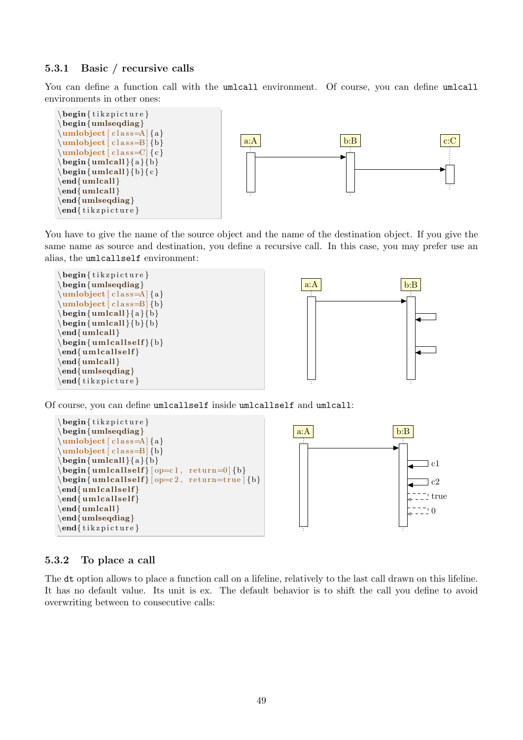### <span id="page-49-0"></span>5.3.1 Basic / recursive calls

You can define a function call with the umlcall environment. Of course, you can define umlcall environments in other ones:



You have to give the name of the source object and the name of the destination object. If you give the same name as source and destination, you define a recursive call. In this case, you may prefer use an alias, the umlcallself environment:



Of course, you can define umlcallself inside umlcallself and umlcall:



#### <span id="page-49-1"></span>5.3.2 To place a call

The dt option allows to place a function call on a lifeline, relatively to the last call drawn on this lifeline. It has no default value. Its unit is ex. The default behavior is to shift the call you define to avoid overwriting between to consecutive calls:

c2 ! true

0

 $\exists$  c1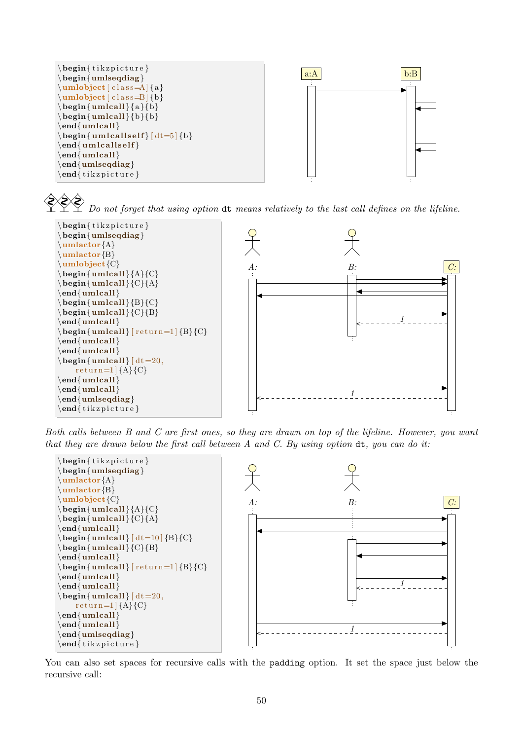

**⊘⊗≳** Do not forget that using option dt means relatively to the last call defines on the lifeline.



Both calls between B and C are first ones, so they are drawn on top of the lifeline. However, you want that they are drawn below the first call between  $A$  and  $C$ . By using option  $dt$ , you can do it:



You can also set spaces for recursive calls with the padding option. It set the space just below the recursive call: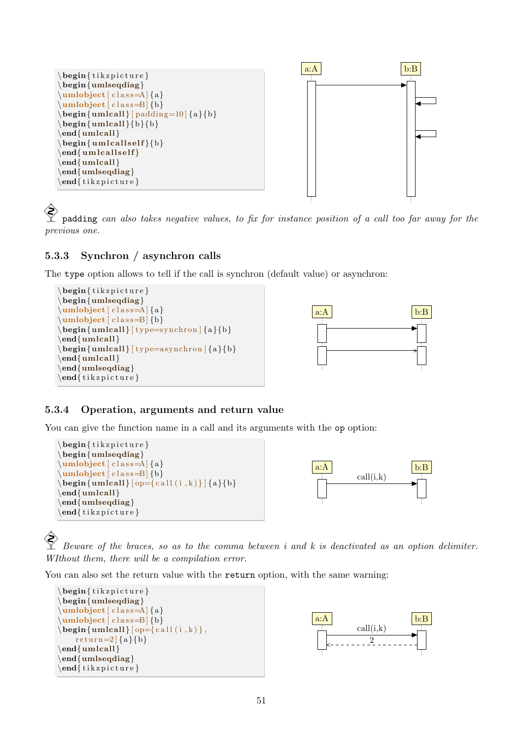

 padding can also takes negative values, to fix for instance position of a call too far away for the previous one.

## <span id="page-51-0"></span>5.3.3 Synchron / asynchron calls

The type option allows to tell if the call is synchron (default value) or asynchron:





### <span id="page-51-1"></span>5.3.4 Operation, arguments and return value

You can give the function name in a call and its arguments with the op option:

```
\begin{cases} tikzpicture }
\begin{umlseqdiag}
\mu\\mathbf{b} (class=B] {b}
\begin{align} \begin{bmatrix} \text{umlcall} \end{bmatrix} = \{ \text{all} (i, k) \} \end{align}\end{umlcall}
\end{umlseqdiag}
\end{math} (tikzpicture)
```


 Beware of the braces, so as to the comma between i and k is deactivated as an option delimiter. WIthout them, there will be a compilation error.

You can also set the return value with the return option, with the same warning:



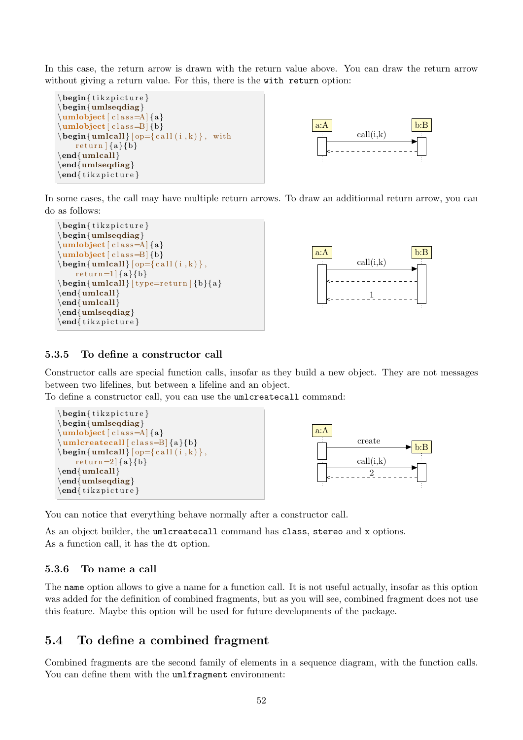In this case, the return arrow is drawn with the return value above. You can draw the return arrow without giving a return value. For this, there is the with return option:





In some cases, the call may have multiple return arrows. To draw an additionnal return arrow, you can do as follows:





#### <span id="page-52-0"></span>5.3.5 To define a constructor call

Constructor calls are special function calls, insofar as they build a new object. They are not messages between two lifelines, but between a lifeline and an object.

To define a constructor call, you can use the umlcreatecall command:



You can notice that everything behave normally after a constructor call.

As an object builder, the umlcreatecall command has class, stereo and x options. As a function call, it has the dt option.

#### <span id="page-52-1"></span>5.3.6 To name a call

The name option allows to give a name for a function call. It is not useful actually, insofar as this option was added for the definition of combined fragments, but as you will see, combined fragment does not use this feature. Maybe this option will be used for future developments of the package.

## <span id="page-52-2"></span>5.4 To define a combined fragment

Combined fragments are the second family of elements in a sequence diagram, with the function calls. You can define them with the umlfragment environment: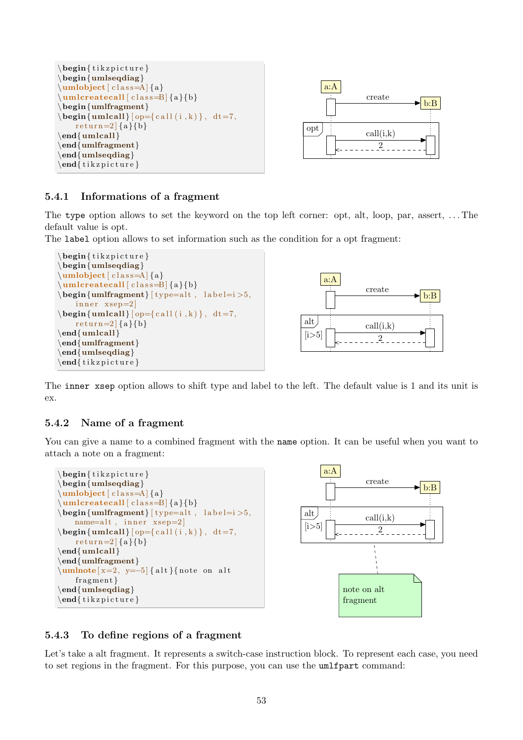



#### <span id="page-53-0"></span>5.4.1 Informations of a fragment

The type option allows to set the keyword on the top left corner: opt, alt, loop, par, assert, . . . The default value is opt.

The label option allows to set information such as the condition for a opt fragment:





The inner xsep option allows to shift type and label to the left. The default value is 1 and its unit is ex.

#### <span id="page-53-1"></span>5.4.2 Name of a fragment

You can give a name to a combined fragment with the name option. It can be useful when you want to attach a note on a fragment:





### <span id="page-53-2"></span>5.4.3 To define regions of a fragment

Let's take a alt fragment. It represents a switch-case instruction block. To represent each case, you need to set regions in the fragment. For this purpose, you can use the umlfpart command: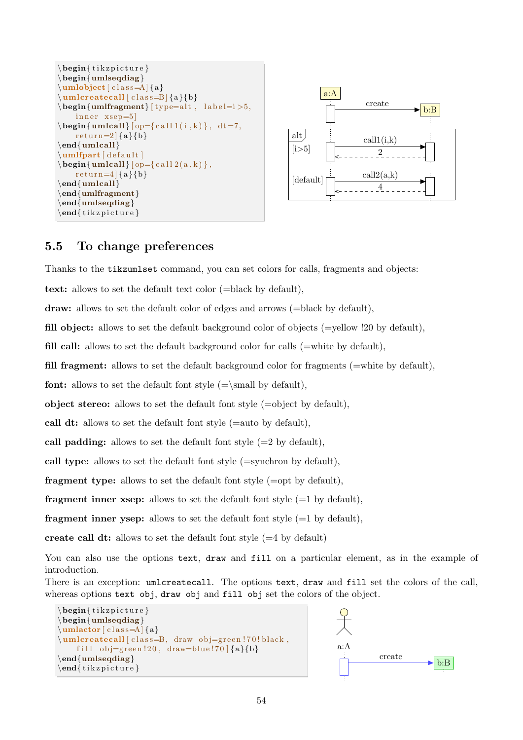```
\begin{cases} tikzpicture }
\begin{umlseqdiag}
\umb{bject} [ \text{class}=A] \{a\}\um lcreate call [class = B]{a}{b}\begin{cases} \text{uniform} \{ type=alt , \ label=i > 5, \end{cases}inner <math>xsep=5\begin{cases} \text{unlcal} \begin{cases} \text{op} \text{call} \begin{cases} i, k \end{cases} \end{cases}, dt = 7, \end{cases}return=2 {a}{b}
\end{umlcall}
\mathcal{ umlfpart \delta default \mathcal{\begin{equation} \begin{bmatrix} \mathbf{u} & \mathbf{v} \end{bmatrix} = \{ \text{call } 2(\mathbf{a}, \mathbf{k}) \}, \end{equation}r e t u r n = 4 \{a\} \{b\}\end{umlcall}
\end{umlfragment}
\end{umlseqdiag}
\end{math} (tik z p i c t u r e }
```


## <span id="page-54-0"></span>5.5 To change preferences

Thanks to the tikzumlset command, you can set colors for calls, fragments and objects:

text: allows to set the default text color (=black by default),

draw: allows to set the default color of edges and arrows (=black by default),

fill object: allows to set the default background color of objects (=yellow !20 by default),

fill call: allows to set the default background color for calls (=white by default),

fill fragment: allows to set the default background color for fragments (=white by default),

**font:** allows to set the default font style  $(=\mathbf{w})$ ,

object stereo: allows to set the default font style  $(=\text{object by default}).$ 

call dt: allows to set the default font style (=auto by default),

call padding: allows to set the default font style  $(=2$  by default),

call type: allows to set the default font style (=synchron by default),

**fragment type:** allows to set the default font style  $(=\text{opt by default})$ ,

**fragment inner xsep:** allows to set the default font style  $(=1$  by default),

**fragment inner ysep:** allows to set the default font style  $(=1$  by default),

create call dt: allows to set the default font style  $(=4$  by default)

You can also use the options text, draw and fill on a particular element, as in the example of introduction.

There is an exception: umlcreatecall. The options text, draw and fill set the colors of the call, whereas options text obj, draw obj and fill obj set the colors of the object.

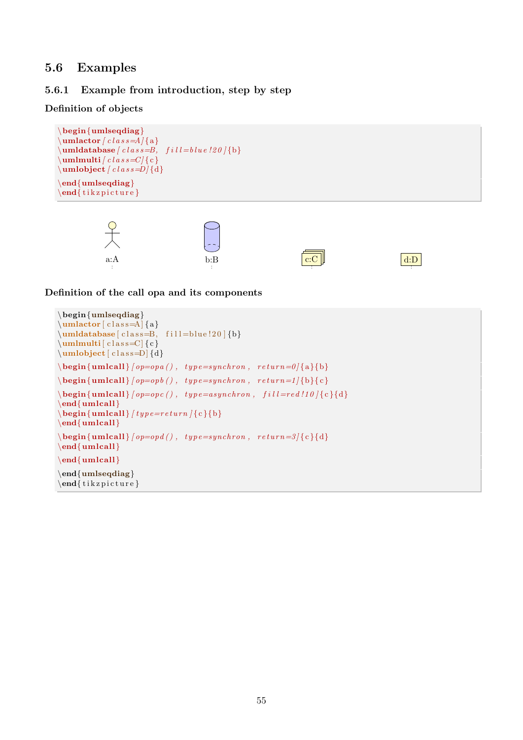## <span id="page-55-0"></span>5.6 Examples

## <span id="page-55-1"></span>5.6.1 Example from introduction, step by step

## Definition of objects

```
\begin{umlseqdiag}
\mathbf{u} mlactor \left[ \frac{class = A}{a} \right]\mathcal{L} lumldatabase \left\{ \text{class} = B, \text{fill} = blue \cdot !20 \right\}\mathbf{u}mlmulti [c \, l \, a \, s \leq C] { c }
\mathcal{L} umlobject \left[ class=D\right]\end{ (umlseqdiag)
\end{math} (tikzpicture)
```


Definition of the call opa and its components

```
\begin{umlseqdiag}
\mathcal{L} (class=A] {a}
\mathcal{A}\ [ class=B, fill = blue ! 20 ] {b}
\umlmulti[ \text{class}=C] { c }
\mathcal{L} umlobject \lceil \text{class}=D \rceil {d}
\begin{align} \begin{cases} \text{umlcall} \, (op = opa \, () \, , \, type = synchron \, , \, return = 0 \, \{a\} \, \} \end{cases} \end{align}\begin{align} \begin{cases} \text{umlcall} \; (op=opb ( ) \; , \; type = synchron \; , \; return=1 \end{cases} \end{align}\begin{align} \begin{cases} \Delta \begin{pmatrix} \Delta \end{pmatrix} \begin{pmatrix} \Delta \end{pmatrix} = \begin{pmatrix} \Delta \end{pmatrix} \begin{pmatrix} \Delta \end{pmatrix} \begin{pmatrix} \Delta \end{pmatrix} = \begin{pmatrix} \Delta \end{pmatrix} \begin{pmatrix} \Delta \end{pmatrix} \begin{pmatrix} \Delta \end{pmatrix} \begin{pmatrix} \Delta \end{pmatrix} \end{align}\end{umlcall}
\begin{cases} \text{unlcal} \{ type = return \} \{ c \} \end{cases}\end{umlcall}
\begin{equation} \begin{array}{l} \text{begin} \text{quad}} \end{array} \begin{equation} \text{partial} \end{equation} \begin{equation} \begin{array}{l} \text{output} \end{array} \end{equation}\end{umlcall}
\end{umlcall}
\end{umlseqdiag}
\end{math}
```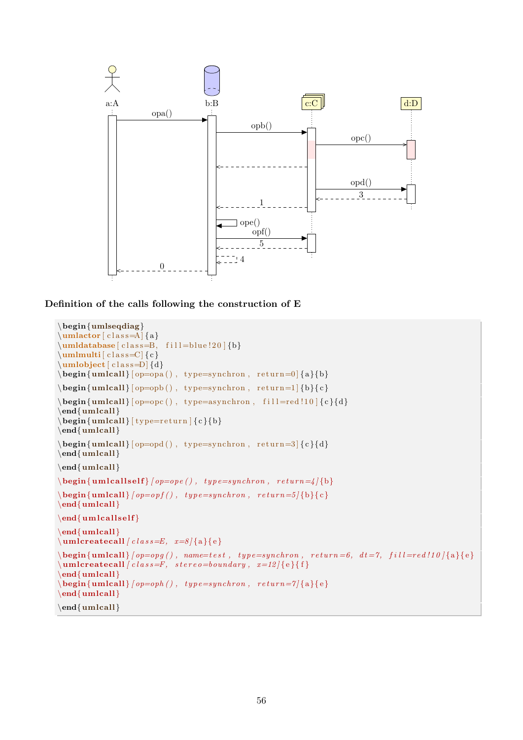

Definition of the calls following the construction of E

```
\begin{umlseqdiag}
\umlactor [ class=A] {a}
\mathcal{L}umldatabase [ c l a s s = B, f i l l = blue ! 20 ] {b}
\mathcal{L} [ c l as s=C] { c }
\mathcal{L} [ class = D] \{d\}\begin{bmatrix} \begin{bmatrix} \mathbf{u} & \mathbf{v} \end{bmatrix} \begin{bmatrix} \begin{bmatrix} \mathbf{v} & \mathbf{v} \end{bmatrix} \end{bmatrix}\begin{align} \begin{bmatrix} \mathbf{u} & \mathbf{v} \end{bmatrix} \begin{bmatrix} \mathbf{v} & \mathbf{v} \end{bmatrix} \begin{bmatrix} \mathbf{v} & \mathbf{v} \end{bmatrix} \begin{bmatrix} \mathbf{v} & \mathbf{v} \end{bmatrix} \begin{bmatrix} \mathbf{v} & \mathbf{v} \end{bmatrix} \begin{bmatrix} \mathbf{v} & \mathbf{v} \end{bmatrix} \begin{bmatrix} \mathbf{v} & \mathbf{v} \end{bmatrix} \begin{bmatrix} \mathbf{v} & \mathbf{v} \end{bmatrix} \begin{bmatrix} \mathbf{v} & \math\begin{align} \begin{bmatrix} \mathbf{u} & \mathbf{v} \end{bmatrix} \begin{bmatrix} \mathbf{v} & \mathbf{v} \end{bmatrix} \begin{bmatrix} \mathbf{v} & \mathbf{v} \end{bmatrix} \begin{bmatrix} \mathbf{v} & \mathbf{v} \end{bmatrix} \begin{bmatrix} \mathbf{v} & \mathbf{v} \end{bmatrix} \begin{bmatrix} \mathbf{v} & \mathbf{v} \end{bmatrix} \begin{bmatrix} \mathbf{v} & \mathbf{v} \end{bmatrix} \begin{bmatrix} \mathbf{v} & \mathbf{v} \end{bmatrix} \begin{bmatrix} \mathbf{v} & \math\end{umlcall}
\begin{array}{r} \begin{array}{c} \text{begin} \text{full} \end{array} \end{array}\end{umlcall}
\begin{equation} \begin{bmatrix} \mathbf{u} & \mathbf{v} \end{bmatrix} = \begin{bmatrix} \mathbf{v} & \mathbf{v} \end{bmatrix}, \quad \mathbf{v} = \mathbf{v} \end{equation}\end{umlcall}
\end{umlcall}
\begin{bmatrix} \begin{array}{c} \hbox{\bf \textbf{begin} \end{array}} \end{bmatrix}\begin{align} \begin{cases} \Delta \begin{pmatrix} \Delta \end{pmatrix} \begin{pmatrix} \Delta \end{pmatrix} = \alpha \begin{pmatrix} \Delta \end{pmatrix} \begin{pmatrix} \Delta \end{pmatrix} + \beta \begin{pmatrix} \Delta \end{pmatrix} \begin{pmatrix} \Delta \end{pmatrix} \end{align}\operatorname{end}\{\text{unlcall}}\end{ {uml calls elf}
\end{umlcall}
\um lcreateca l l [ c l a s s=E , x=8 ] {a}{ e }
\begin{bmatrix} \begin{array}{c} \text{begin} \end{array} \end{bmatrix} (\text{begin} \begin{array}{c} \text{begin} \end{array} \end{bmatrix} , name=test, type=synchron, return=6, dt=7, fill=red!10 [{a}{e}}
\{\mathbf unlcreate call } (class = F, stereo = boundary, x=12){e}\end{umlcall}
\begin{bmatrix} \begin{array}{c} \n\text{begin} \n\text{suml}} \n\end{array} \n\end{bmatrix} (op=oph(), type=synchron, return=7|{a}{e}
\end{umlcall}
\end{umlcall}
```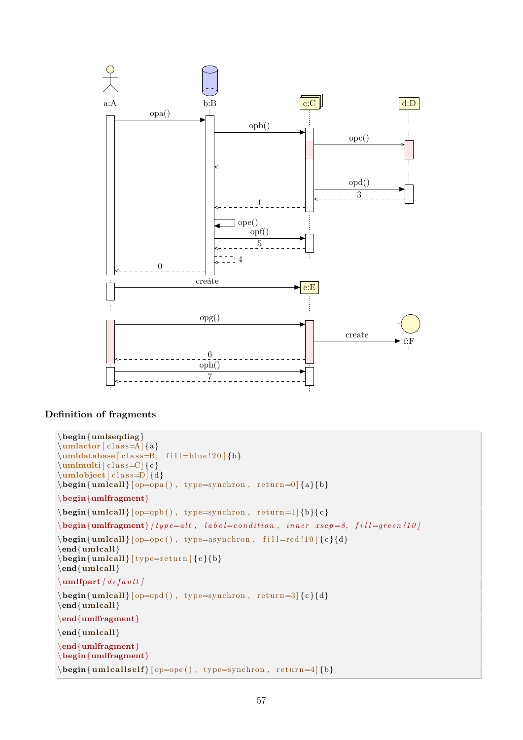

### Definition of fragments

```
\begin{umlseqdiag}
\mathcal{L} (class=A] {a}
\umldatabase [class=B, fill=blue !20 ] {b}
\mathrm{limlutil} [\text{class}=C] {\c}\umb{ib}\text{ }c\text{ class}=D\text{ }\{d\}\begin{bmatrix} \Delta \end{bmatrix} [ op=opa(), type=synchron, return=0 {a}{b}\begin{umlfragment}
\begin{bmatrix} \begin{array}{c} \Delta \end{array} \end{bmatrix}\begin{array}{l} \textbf{begin} \text{f} \text{unifragment} \text{if } type = alt , \text{label=condition, inner} \text{is } sep = 8, \text{fill=green} \end{array}\begin{equation} \begin{bmatrix} \mathbf{u} & \mathbf{v} \\ \mathbf{v} & \mathbf{v} \end{bmatrix} \end{equation}\end{umlcall}
\begin{equation} \begin{bmatrix} \mathbf{u} & \mathbf{u} \\ \mathbf{v} & \mathbf{v} \end{bmatrix} \end{equation}\end{umlcall}
\mathbf{u} mlfpart / \mathbf{d} e f a u l t \mathbf{d}\begin{equation} \begin{bmatrix} \mathbf{u} & \mathbf{v} \\ \mathbf{v} & \mathbf{v} \end{bmatrix} \end{equation}\end{{umlcall}
\end{umlfragment}
\end{umlcall}
\end{umlfragment}
\begin{cases} begin{umlfragment}
\begin{equation} \begin{bmatrix} \mathbf{u} \mathbf{v} \end{bmatrix} = \begin{bmatrix} \mathbf{v} - \mathbf{v} \end{bmatrix} \begin{bmatrix} \mathbf{v} - \mathbf{v} \end{bmatrix} \begin{bmatrix} \mathbf{v} - \mathbf{v} \end{bmatrix}
```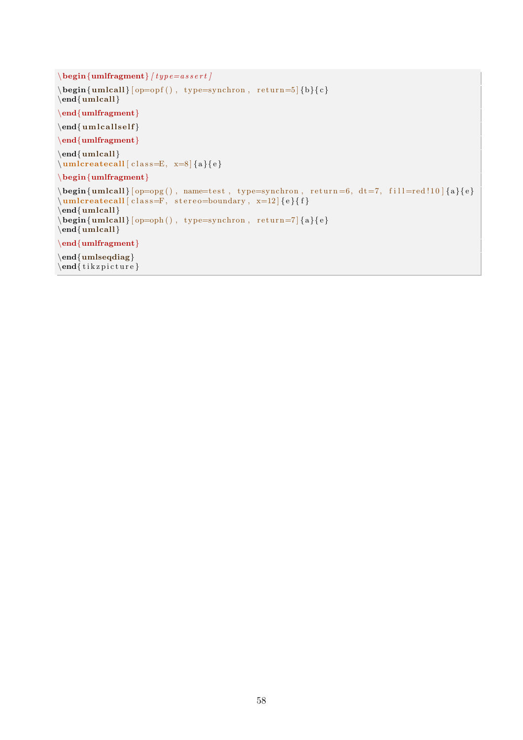```
\begin{array}{c} \begin{array}{c} \text{begin}\end{array}\begin{equation} \begin{bmatrix} \mathbf{u} & \mathbf{v} \\ \mathbf{v} & \mathbf{v} \end{bmatrix} \end{equation}\end{umlcall}
\end{umlfragment}
\end{ um l calls elf \}\end{umlfragment}
\end{ umlcall
\um lcreate call [class=E, x=8]{a}{e}\begin{umlfragment}
\begin{align} \begin{bmatrix} \mathbf{u} & \mathbf{v} \end{bmatrix} = \begin{bmatrix} \mathbf{v} & \mathbf{v} \end{bmatrix} \begin{bmatrix} \mathbf{v} & \mathbf{v} \end{bmatrix} = \begin{bmatrix} \mathbf{v} & \mathbf{v} \end{bmatrix} \begin{bmatrix} \mathbf{v} & \mathbf{v} \end{bmatrix} \begin{bmatrix} \mathbf{v} & \mathbf{v} \end{bmatrix} \begin{bmatrix} \mathbf{v} & \mathbf{v} \end{bmatrix} \begin{bmatrix} \mathbf{v} & \mathbf{v} \end{bmatrix} \begin{bmatrix} \mathbf{v} &\um lcreate call [class=F, stereo=boundary, x=12]{e}{f}\end{umlcall}
\begin{bmatrix} \begin{bmatrix} \mathbf{q} \end{bmatrix} \begin{bmatrix} \mathbf{q} \end{bmatrix} \begin{bmatrix} \mathbf{q} \end{bmatrix} \begin{bmatrix} \mathbf{q} \end{bmatrix} \begin{bmatrix} \mathbf{q} \end{bmatrix}\end{{umlcall}
\end{substack}\end{umlseqdiag}
\end{math} (tikzpicture)
```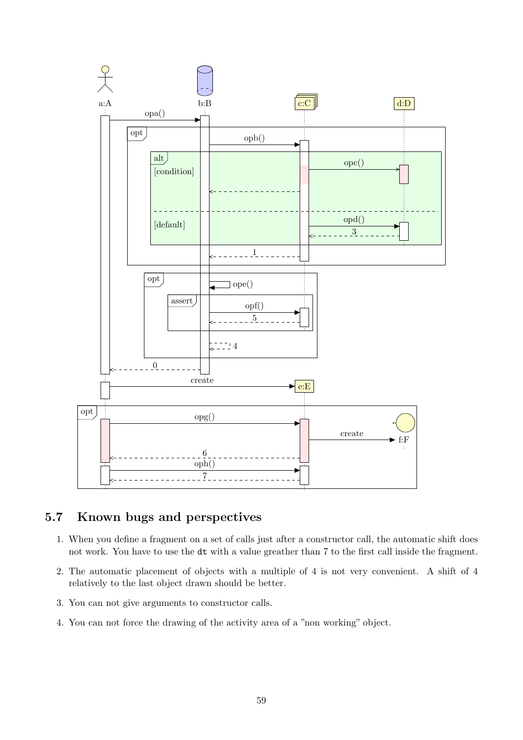

## <span id="page-59-0"></span>5.7 Known bugs and perspectives

- 1. When you define a fragment on a set of calls just after a constructor call, the automatic shift does not work. You have to use the dt with a value greather than 7 to the first call inside the fragment.
- 2. The automatic placement of objects with a multiple of 4 is not very convenient. A shift of 4 relatively to the last object drawn should be better.
- 3. You can not give arguments to constructor calls.
- 4. You can not force the drawing of the activity area of a "non working" object.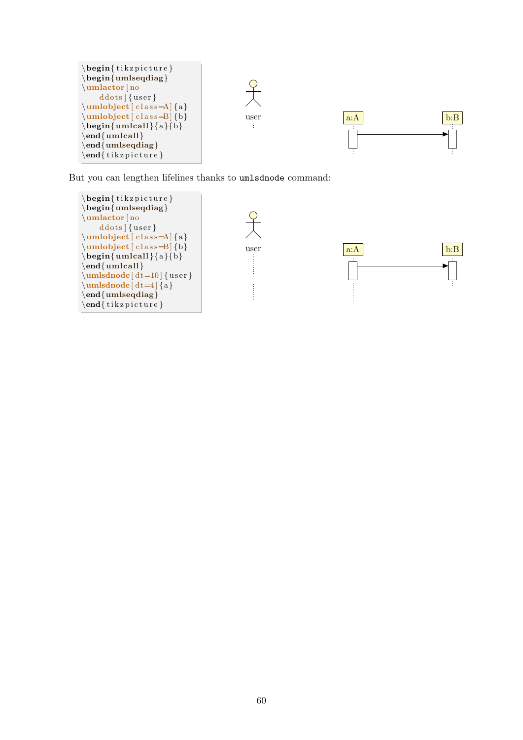

But you can lengthen lifelines thanks to umlsdnode command:

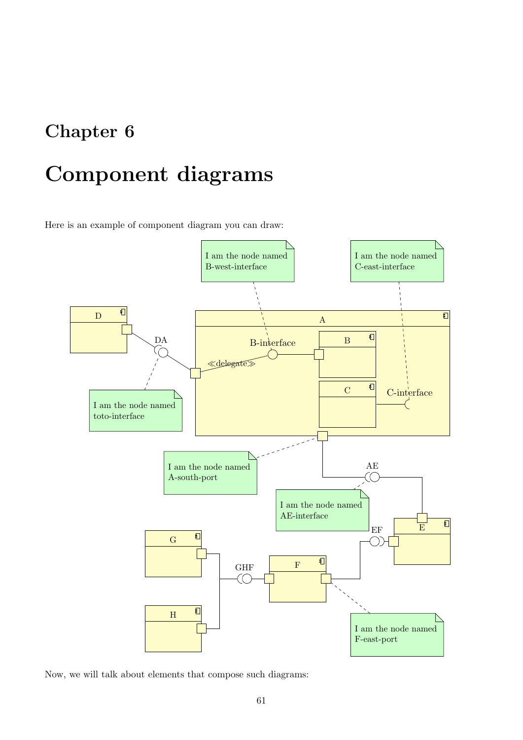## <span id="page-61-0"></span>Chapter 6

# Component diagrams

Here is an example of component diagram you can draw:



Now, we will talk about elements that compose such diagrams: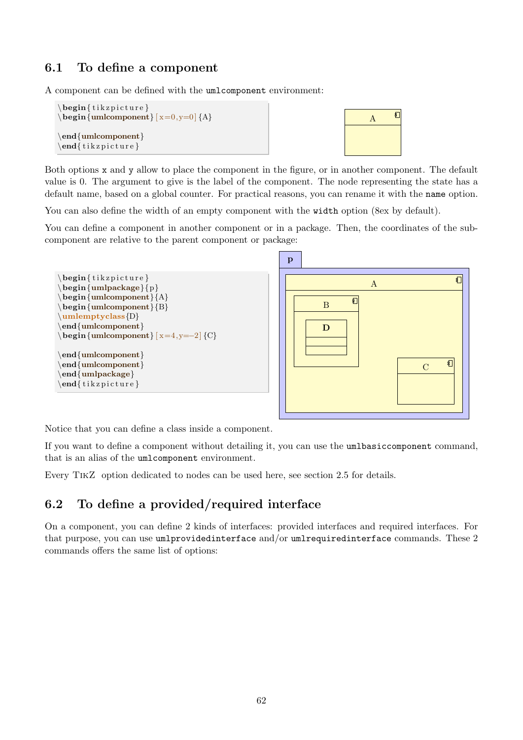## <span id="page-62-0"></span>6.1 To define a component

A component can be defined with the umlcomponent environment:

```
\begin{cases} begin{ tikzpicture }
\begin{equation} \begin{cases} x=0,y=0 \end{cases} {A}
\end{umlcomponent}
\end{math}
```


Both options x and y allow to place the component in the figure, or in another component. The default value is 0. The argument to give is the label of the component. The node representing the state has a default name, based on a global counter. For practical reasons, you can rename it with the name option.

You can also define the width of an empty component with the width option (8ex by default).

You can define a component in another component or in a package. Then, the coordinates of the subcomponent are relative to the parent component or package:



Notice that you can define a class inside a component.

If you want to define a component without detailing it, you can use the umlbasiccomponent command, that is an alias of the umlcomponent environment.

Every TikZ option dedicated to nodes can be used here, see [section 2.5](#page-18-1) for details.

## <span id="page-62-1"></span>6.2 To define a provided/required interface

On a component, you can define 2 kinds of interfaces: provided interfaces and required interfaces. For that purpose, you can use umlprovidedinterface and/or umlrequiredinterface commands. These 2 commands offers the same list of options: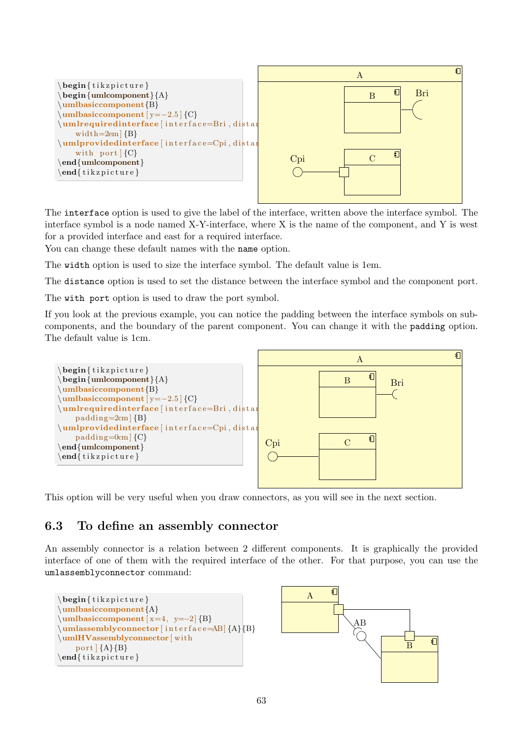

The interface option is used to give the label of the interface, written above the interface symbol. The interface symbol is a node named X-Y-interface, where X is the name of the component, and Y is west for a provided interface and east for a required interface.

You can change these default names with the name option.

The width option is used to size the interface symbol. The default value is 1em.

The distance option is used to set the distance between the interface symbol and the component port.

The with port option is used to draw the port symbol.

If you look at the previous example, you can notice the padding between the interface symbols on subcomponents, and the boundary of the parent component. You can change it with the padding option. The default value is 1cm.



This option will be very useful when you draw connectors, as you will see in the next section.

## <span id="page-63-0"></span>6.3 To define an assembly connector

An assembly connector is a relation between 2 different components. It is graphically the provided interface of one of them with the required interface of the other. For that purpose, you can use the umlassemblyconnector command:



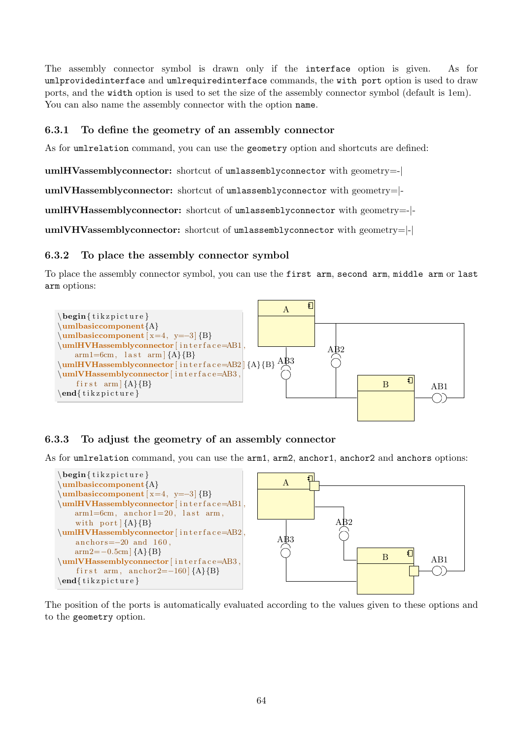The assembly connector symbol is drawn only if the interface option is given. As for umlprovidedinterface and umlrequiredinterface commands, the with port option is used to draw ports, and the width option is used to set the size of the assembly connector symbol (default is 1em). You can also name the assembly connector with the option name.

## <span id="page-64-0"></span>6.3.1 To define the geometry of an assembly connector

As for umlrelation command, you can use the geometry option and shortcuts are defined:

umlHVassemblyconnector: shortcut of umlassemblyconnector with geometry=-|

umlVHassemblyconnector: shortcut of umlassemblyconnector with geometry=|-

umlHVHassemblyconnector: shortcut of umlassemblyconnector with geometry=-|-

umlVHVassemblyconnector: shortcut of umlassemblyconnector with geometry=|-|

### <span id="page-64-1"></span>6.3.2 To place the assembly connector symbol

To place the assembly connector symbol, you can use the first arm, second arm, middle arm or last arm options:



## <span id="page-64-2"></span>6.3.3 To adjust the geometry of an assembly connector

As for umlrelation command, you can use the arm1, arm2, anchor1, anchor2 and anchors options:



The position of the ports is automatically evaluated according to the values given to these options and to the geometry option.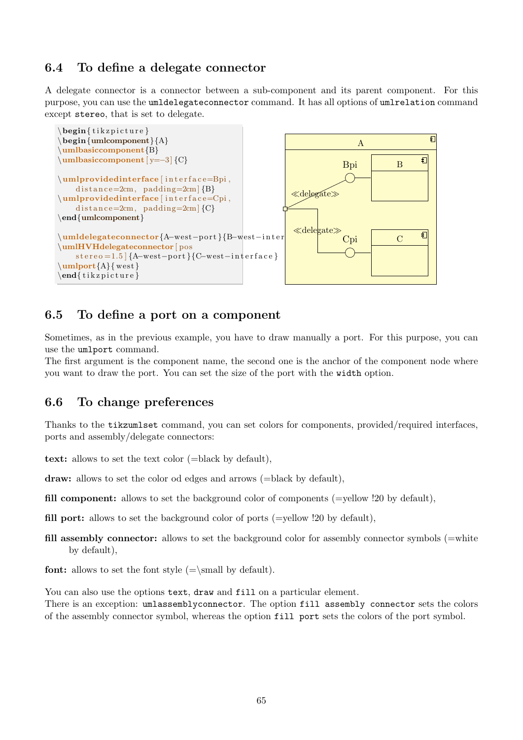## <span id="page-65-0"></span>6.4 To define a delegate connector

A delegate connector is a connector between a sub-component and its parent component. For this purpose, you can use the umldelegateconnector command. It has all options of umlrelation command except stereo, that is set to delegate.



## <span id="page-65-1"></span>6.5 To define a port on a component

Sometimes, as in the previous example, you have to draw manually a port. For this purpose, you can use the umlport command.

The first argument is the component name, the second one is the anchor of the component node where you want to draw the port. You can set the size of the port with the width option.

## <span id="page-65-2"></span>6.6 To change preferences

Thanks to the tikzumlset command, you can set colors for components, provided/required interfaces, ports and assembly/delegate connectors:

text: allows to set the text color (=black by default),

draw: allows to set the color od edges and arrows (=black by default),

- fill component: allows to set the background color of components ( $=$ yellow  $\langle 20 \rangle$  by default).
- fill port: allows to set the background color of ports ( $=$ vellow !20 by default),
- fill assembly connector: allows to set the background color for assembly connector symbols  $(=$ white by default),

**font:** allows to set the font style  $(=\small{small}$  by default).

You can also use the options text, draw and fill on a particular element.

There is an exception: umlassemblyconnector. The option fill assembly connector sets the colors of the assembly connector symbol, whereas the option fill port sets the colors of the port symbol.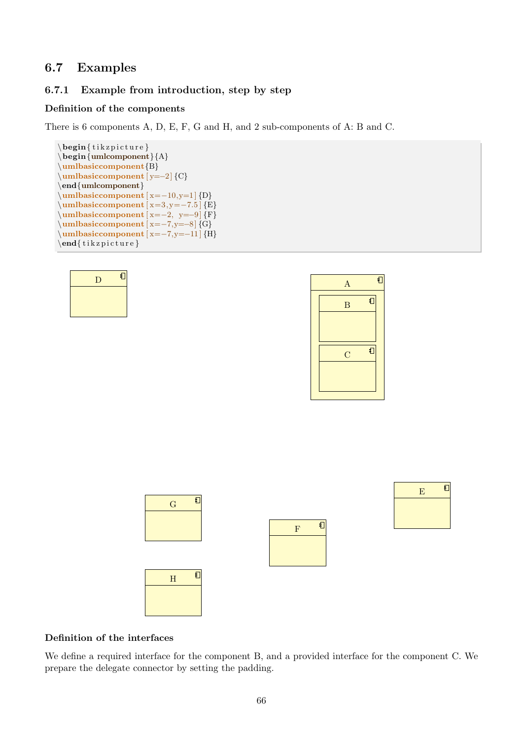## <span id="page-66-0"></span>6.7 Examples

D

钉

## <span id="page-66-1"></span>6.7.1 Example from introduction, step by step

#### Definition of the components

There is 6 components A, D, E, F, G and H, and 2 sub-components of A: B and C.

```
\begin{cases} \begin{ tikzpicture }
\begin{umlcomponent}{A}
\umlbasiccomponent{B}
\umlbasiccomponent [ y=−2] {C}
\end{umlcomponent}
\muhasiccomponent [x=−10,y=1] {D}
\muhasiccomponent [x=3,y=−7.5] {E}
\mubasiccomponent [x=−2, y=−9] {F}
\umlbasiccomponent [ x=−7,y=−8] {G}
\muhasiccomponent [x=−7,y=−11] {H}
\end{math}
```




#### Definition of the interfaces

We define a required interface for the component B, and a provided interface for the component C. We prepare the delegate connector by setting the padding.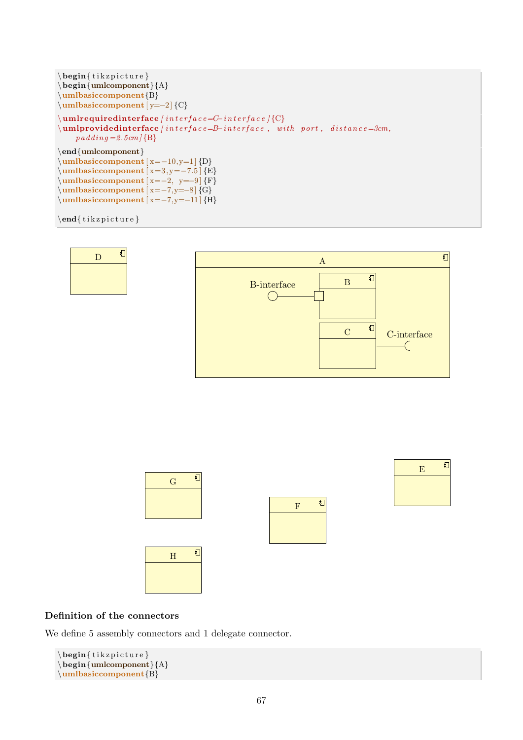```
\begin{cases} begin{ tikzpicture }
\begin{cases} \begin{umlcomponent}{A}
\umlbasiccomponent{B}
\umlbasiccomponent [ y=−2] {C}
\umlrequiredinterface [ i n t e r f a c e=C−i n t e r f a c e ] {C}
\label{lem:1} \verb+\umlprovided interface+ \emph{interface}, with port, distance=3cm,p \, adding = 2.5cm [B]
\end{umlcomponent}
\umlbasiccomponent [ x=−10,y=1 ] {D}
\{\text{umbasiccomponent} [x=3,y=-7.5] {E}
\mubasiccomponent [x=−2, y=−9] {F}
\sum_{x=-7, y=-8} {G}
\muhasiccomponent [x=−7,y=−11] {H}
```

```
\end{math} (tik z p i c t u r e }
```




### Definition of the connectors

We define 5 assembly connectors and 1 delegate connector.

```
\begin{cases} tikzpicture }
\begin{cases} begin{umlcomponent}{A}
\umlbasiccomponent{B}
```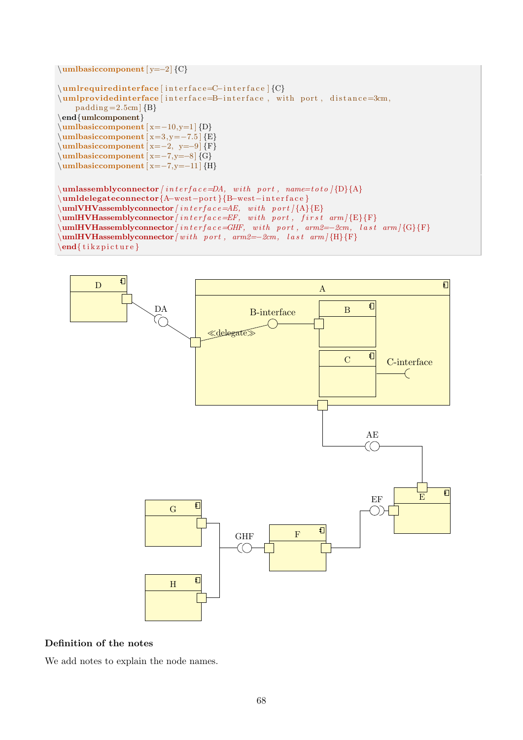\umlbasiccomponent [ y=−2] {C}

```
\umlrequiredinterface [interface=C−interface ] {C}
\umlprovidedinterface interface=B-interface, with port, distance=3cm,
    padding = 2.5cm {B}
\end{umlcomponent}
\umlbasiccomponent [ x=−10,y=1 ] {D}
\{\text{umbasiccomponent} [x=3,y=-7.5] {E}
\{\text{umbasiccomponent} [x=−2, y=−9] {F}
\sum_{x=-7, y=-8}^{8} {G}
\muhasiccomponent [x=−7,y=−11] {H}
\{\mathbf w\} assembly connector [interface=DA, with port, name=toto]\{D\}{A}
\umldelegateconnector{A−west−p o r t }{B−west−i n t e r f a c e }
\sum_{\text{numIVHV} \in \text{HV}} assembly connector [interface=AE, with port] {A}{E}
\mathcal{L}_{\text{unlHVHassenblyconnector} /interface = EF, with port, first arm / {E}{} F\mathcal{U}=\sum_{\{G\}}\{G\}
```


 $\end{math}$  tik z p i c t u r e }



#### Definition of the notes

We add notes to explain the node names.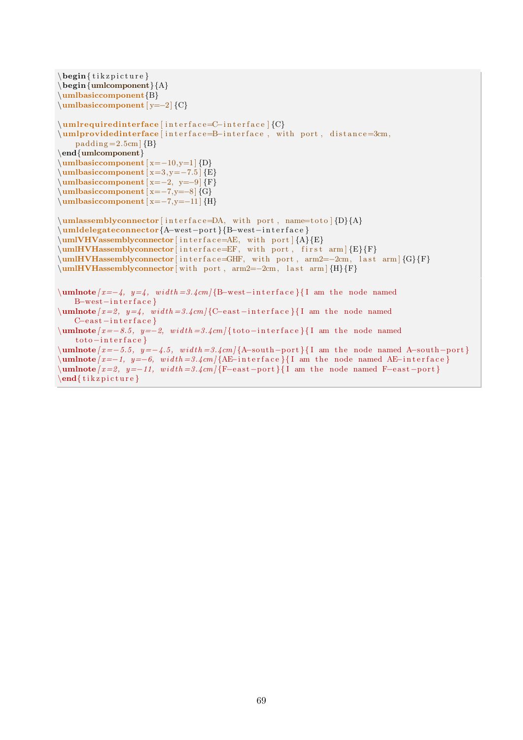$\begin{cases}$  tikzpicture } \begin{umlcomponent}{A} \umlbasiccomponent{B} \umlbasiccomponent [ y=−2] {C} \umlrequiredinterface [interface=C-interface ] {C} \umlprovidedinterface [interface=B-interface, with port, distance=3cm,  $padding = 2.5cm$  {B} \end{umlcomponent}  $\mu$ basiccomponent [x=−10,y=1] {D}  $\mu$ hasiccomponent [x=3,y=−7.5] {E}  $\mu$ basiccomponent [x=−2, y=−9] {F}  $\mu\bar{\text{x}=-7,y=-8}$  {G}  $\sum_{x=-7, y=-11}$  {H}  $\umlassemblyconnector [interface=DA, with port, name=toto] {D}{A}$ \umldelegateconnector{A−west−p o r t }{B−west−i n t e r f a c e }  $\umIVHV$ assemblyconnector [interface=AE, with port  ${A}{E}$  $\sum_{\text{min}}$ VHassemblyconnector interface=EF, with port, first arm [E}{F}  $\u$ mlHVHassemblyconnector [ interface=GHF, with port, arm2=-2cm, last arm  ${G}$ [F} \umlHVHassemblyconnector [ with port, arm2=−2cm, last arm ] {H}{F}  $\mathcal{L}$  \umlnote  $[x=-4, y=4, width=3.4cm]$  {B-west-interface }{ I am the node named B−west−i n t e r f a c e }  $\um$ hote  $[x=2, y=4, width=3.4cm]$  {C-east-interface }{ I am the node named C−east−interface }  $\mu$  \umlnote  $[x=-8.5, y=-2, width=3.4cm$  { toto-interface } { I am the node named  $\frac{1}{\cot \theta} - \frac{1}{\cot \theta} \cdot \frac{1}{\cot \theta}$  $\mathbf{ }$  [ x=−5.5, y=−4.5, width=3.4cm | {A-south-port } { I am the node named A-south-port }  $\mu$  umlnote  $[x=-1, y=-6, width=3.4cm$  {AE−interface }{ I am the node named AE-interface }  $\sum_{m=2, y=-11, width=3.4cm$  [ F−east -port }{ I am the node named F-east-port }  $\end{math}$  (tik z p i c t u r e }